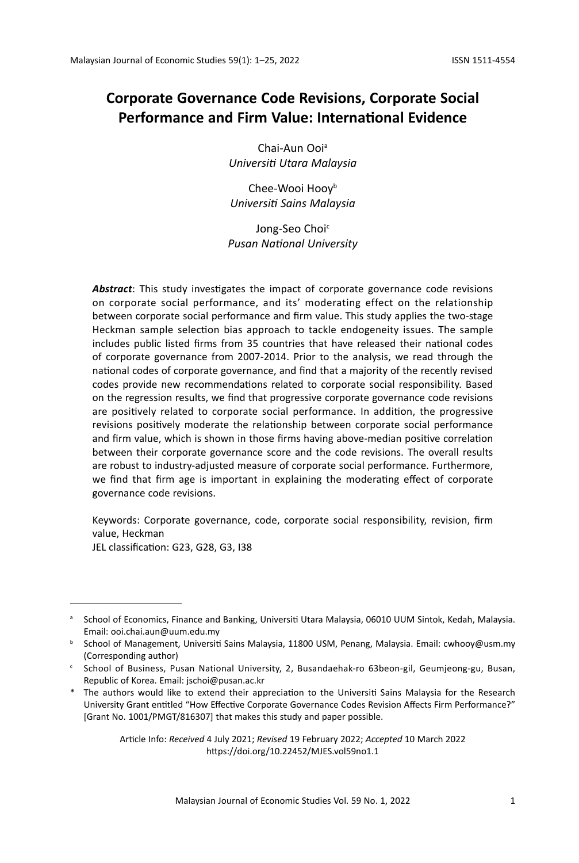# **Corporate Governance Code Revisions, Corporate Social Performance and Firm Value: International Evidence**

Chai-Aun Ooi<sup>a</sup> *Universiti Utara Malaysia*

Chee-Wooi Hoov<sup>b</sup> *Universiti Sains Malaysia*

Jong-Seo Choi<sup>c</sup> *Pusan National University*

*Abstract*: This study investigates the impact of corporate governance code revisions on corporate social performance, and its' moderating effect on the relationship between corporate social performance and firm value. This study applies the two-stage Heckman sample selection bias approach to tackle endogeneity issues. The sample includes public listed firms from 35 countries that have released their national codes of corporate governance from 2007-2014. Prior to the analysis, we read through the national codes of corporate governance, and find that a majority of the recently revised codes provide new recommendations related to corporate social responsibility. Based on the regression results, we find that progressive corporate governance code revisions are positively related to corporate social performance. In addition, the progressive revisions positively moderate the relationship between corporate social performance and firm value, which is shown in those firms having above-median positive correlation between their corporate governance score and the code revisions. The overall results are robust to industry-adjusted measure of corporate social performance. Furthermore, we find that firm age is important in explaining the moderating effect of corporate governance code revisions.

Keywords: Corporate governance, code, corporate social responsibility, revision, firm value, Heckman

JEL classification: G23, G28, G3, I38

Article Info: *Received* 4 July 2021; *Revised* 19 February 2022; *Accepted* 10 March 2022 https://doi.org/10.22452/MJES.vol59no1.1

<sup>&</sup>lt;sup>a</sup> School of Economics, Finance and Banking, Universiti Utara Malaysia, 06010 UUM Sintok, Kedah, Malaysia. Email: ooi.chai.aun@uum.edu.my

**b** School of Management, Universiti Sains Malaysia, 11800 USM, Penang, Malaysia. Email: cwhooy@usm.my (Corresponding author)

<sup>c</sup> School of Business, Pusan National University, 2, Busandaehak-ro 63beon-gil, Geumjeong-gu, Busan, Republic of Korea. Email: jschoi@pusan.ac.kr

<sup>\*</sup> The authors would like to extend their appreciation to the Universiti Sains Malaysia for the Research University Grant entitled "How Effective Corporate Governance Codes Revision Affects Firm Performance?" [Grant No. 1001/PMGT/816307] that makes this study and paper possible.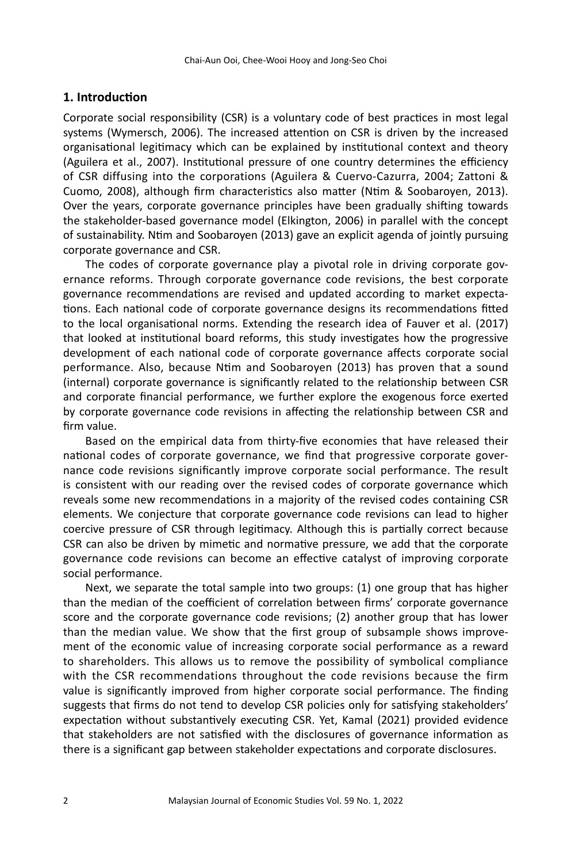# **1. Introduction**

Corporate social responsibility (CSR) is a voluntary code of best practices in most legal systems (Wymersch, 2006). The increased attention on CSR is driven by the increased organisational legitimacy which can be explained by institutional context and theory (Aguilera et al., 2007). Institutional pressure of one country determines the efficiency of CSR diffusing into the corporations (Aguilera & Cuervo-Cazurra, 2004; Zattoni & Cuomo, 2008), although firm characteristics also matter (Ntim & Soobaroyen, 2013). Over the years, corporate governance principles have been gradually shifting towards the stakeholder-based governance model (Elkington, 2006) in parallel with the concept of sustainability. Ntim and Soobaroyen (2013) gave an explicit agenda of jointly pursuing corporate governance and CSR.

The codes of corporate governance play a pivotal role in driving corporate governance reforms. Through corporate governance code revisions, the best corporate governance recommendations are revised and updated according to market expectations. Each national code of corporate governance designs its recommendations fitted to the local organisational norms. Extending the research idea of Fauver et al. (2017) that looked at institutional board reforms, this study investigates how the progressive development of each national code of corporate governance affects corporate social performance. Also, because Ntim and Soobaroyen (2013) has proven that a sound (internal) corporate governance is significantly related to the relationship between CSR and corporate financial performance, we further explore the exogenous force exerted by corporate governance code revisions in affecting the relationship between CSR and firm value.

Based on the empirical data from thirty-five economies that have released their national codes of corporate governance, we find that progressive corporate governance code revisions significantly improve corporate social performance. The result is consistent with our reading over the revised codes of corporate governance which reveals some new recommendations in a majority of the revised codes containing CSR elements. We conjecture that corporate governance code revisions can lead to higher coercive pressure of CSR through legitimacy. Although this is partially correct because CSR can also be driven by mimetic and normative pressure, we add that the corporate governance code revisions can become an effective catalyst of improving corporate social performance.

Next, we separate the total sample into two groups: (1) one group that has higher than the median of the coefficient of correlation between firms' corporate governance score and the corporate governance code revisions; (2) another group that has lower than the median value. We show that the first group of subsample shows improvement of the economic value of increasing corporate social performance as a reward to shareholders. This allows us to remove the possibility of symbolical compliance with the CSR recommendations throughout the code revisions because the firm value is significantly improved from higher corporate social performance. The finding suggests that firms do not tend to develop CSR policies only for satisfying stakeholders' expectation without substantively executing CSR. Yet, Kamal (2021) provided evidence that stakeholders are not satisfied with the disclosures of governance information as there is a significant gap between stakeholder expectations and corporate disclosures.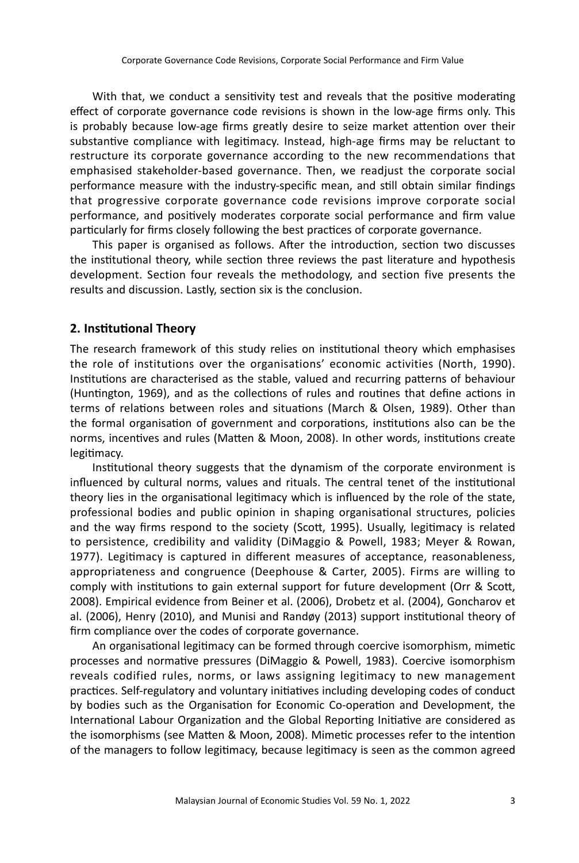With that, we conduct a sensitivity test and reveals that the positive moderating effect of corporate governance code revisions is shown in the low-age firms only. This is probably because low-age firms greatly desire to seize market attention over their substantive compliance with legitimacy. Instead, high-age firms may be reluctant to restructure its corporate governance according to the new recommendations that emphasised stakeholder-based governance. Then, we readjust the corporate social performance measure with the industry-specific mean, and still obtain similar findings that progressive corporate governance code revisions improve corporate social performance, and positively moderates corporate social performance and firm value particularly for firms closely following the best practices of corporate governance.

This paper is organised as follows. After the introduction, section two discusses the institutional theory, while section three reviews the past literature and hypothesis development. Section four reveals the methodology, and section five presents the results and discussion. Lastly, section six is the conclusion.

# **2. Institutional Theory**

The research framework of this study relies on institutional theory which emphasises the role of institutions over the organisations' economic activities (North, 1990). Institutions are characterised as the stable, valued and recurring patterns of behaviour (Huntington, 1969), and as the collections of rules and routines that define actions in terms of relations between roles and situations (March & Olsen, 1989). Other than the formal organisation of government and corporations, institutions also can be the norms, incentives and rules (Matten & Moon, 2008). In other words, institutions create legitimacy.

Institutional theory suggests that the dynamism of the corporate environment is influenced by cultural norms, values and rituals. The central tenet of the institutional theory lies in the organisational legitimacy which is influenced by the role of the state, professional bodies and public opinion in shaping organisational structures, policies and the way firms respond to the society (Scott, 1995). Usually, legitimacy is related to persistence, credibility and validity (DiMaggio & Powell, 1983; Meyer & Rowan, 1977). Legitimacy is captured in different measures of acceptance, reasonableness, appropriateness and congruence (Deephouse & Carter, 2005). Firms are willing to comply with institutions to gain external support for future development (Orr & Scott, 2008). Empirical evidence from Beiner et al. (2006), Drobetz et al. (2004), Goncharov et al. (2006), Henry (2010), and Munisi and Randøy (2013) support institutional theory of firm compliance over the codes of corporate governance.

An organisational legitimacy can be formed through coercive isomorphism, mimetic processes and normative pressures (DiMaggio & Powell, 1983). Coercive isomorphism reveals codified rules, norms, or laws assigning legitimacy to new management practices. Self-regulatory and voluntary initiatives including developing codes of conduct by bodies such as the Organisation for Economic Co-operation and Development, the International Labour Organization and the Global Reporting Initiative are considered as the isomorphisms (see Matten & Moon, 2008). Mimetic processes refer to the intention of the managers to follow legitimacy, because legitimacy is seen as the common agreed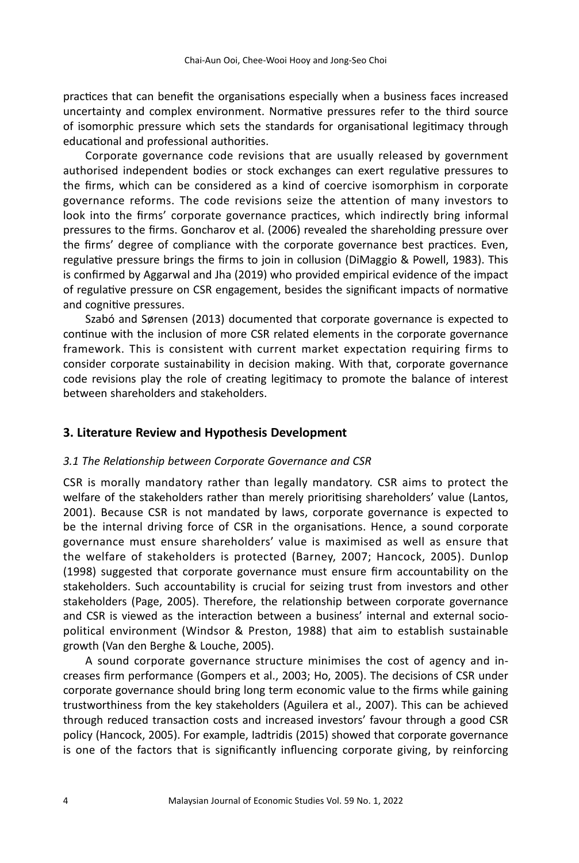practices that can benefit the organisations especially when a business faces increased uncertainty and complex environment. Normative pressures refer to the third source of isomorphic pressure which sets the standards for organisational legitimacy through educational and professional authorities.

Corporate governance code revisions that are usually released by government authorised independent bodies or stock exchanges can exert regulative pressures to the firms, which can be considered as a kind of coercive isomorphism in corporate governance reforms. The code revisions seize the attention of many investors to look into the firms' corporate governance practices, which indirectly bring informal pressures to the firms. Goncharov et al. (2006) revealed the shareholding pressure over the firms' degree of compliance with the corporate governance best practices. Even, regulative pressure brings the firms to join in collusion (DiMaggio & Powell, 1983). This is confirmed by Aggarwal and Jha (2019) who provided empirical evidence of the impact of regulative pressure on CSR engagement, besides the significant impacts of normative and cognitive pressures.

Szabó and Sørensen (2013) documented that corporate governance is expected to continue with the inclusion of more CSR related elements in the corporate governance framework. This is consistent with current market expectation requiring firms to consider corporate sustainability in decision making. With that, corporate governance code revisions play the role of creating legitimacy to promote the balance of interest between shareholders and stakeholders.

# **3. Literature Review and Hypothesis Development**

# *3.1 The Relationship between Corporate Governance and CSR*

CSR is morally mandatory rather than legally mandatory. CSR aims to protect the welfare of the stakeholders rather than merely prioritising shareholders' value (Lantos, 2001). Because CSR is not mandated by laws, corporate governance is expected to be the internal driving force of CSR in the organisations. Hence, a sound corporate governance must ensure shareholders' value is maximised as well as ensure that the welfare of stakeholders is protected (Barney, 2007; Hancock, 2005). Dunlop (1998) suggested that corporate governance must ensure firm accountability on the stakeholders. Such accountability is crucial for seizing trust from investors and other stakeholders (Page, 2005). Therefore, the relationship between corporate governance and CSR is viewed as the interaction between a business' internal and external sociopolitical environment (Windsor & Preston, 1988) that aim to establish sustainable growth (Van den Berghe & Louche, 2005).

A sound corporate governance structure minimises the cost of agency and increases firm performance (Gompers et al., 2003; Ho, 2005). The decisions of CSR under corporate governance should bring long term economic value to the firms while gaining trustworthiness from the key stakeholders (Aguilera et al., 2007). This can be achieved through reduced transaction costs and increased investors' favour through a good CSR policy (Hancock, 2005). For example, Iadtridis (2015) showed that corporate governance is one of the factors that is significantly influencing corporate giving, by reinforcing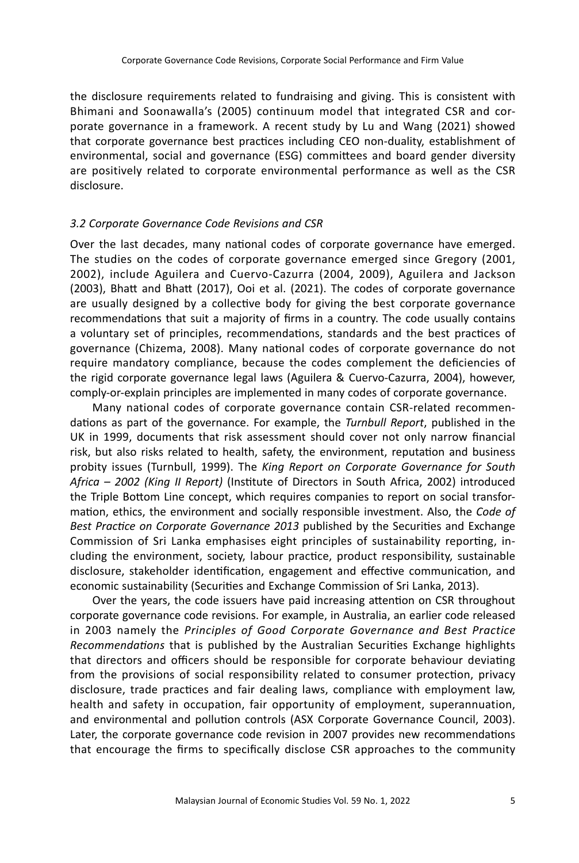the disclosure requirements related to fundraising and giving. This is consistent with Bhimani and Soonawalla's (2005) continuum model that integrated CSR and corporate governance in a framework. A recent study by Lu and Wang (2021) showed that corporate governance best practices including CEO non-duality, establishment of environmental, social and governance (ESG) committees and board gender diversity are positively related to corporate environmental performance as well as the CSR disclosure.

# *3.2 Corporate Governance Code Revisions and CSR*

Over the last decades, many national codes of corporate governance have emerged. The studies on the codes of corporate governance emerged since Gregory (2001, 2002), include Aguilera and Cuervo-Cazurra (2004, 2009), Aguilera and Jackson (2003), Bhatt and Bhatt (2017), Ooi et al. (2021). The codes of corporate governance are usually designed by a collective body for giving the best corporate governance recommendations that suit a majority of firms in a country. The code usually contains a voluntary set of principles, recommendations, standards and the best practices of governance (Chizema, 2008). Many national codes of corporate governance do not require mandatory compliance, because the codes complement the deficiencies of the rigid corporate governance legal laws (Aguilera & Cuervo-Cazurra, 2004), however, comply-or-explain principles are implemented in many codes of corporate governance.

Many national codes of corporate governance contain CSR-related recommendations as part of the governance. For example, the *Turnbull Report*, published in the UK in 1999, documents that risk assessment should cover not only narrow financial risk, but also risks related to health, safety, the environment, reputation and business probity issues (Turnbull, 1999). The *King Report on Corporate Governance for South Africa – 2002 (King II Report)* (Institute of Directors in South Africa, 2002) introduced the Triple Bottom Line concept, which requires companies to report on social transformation, ethics, the environment and socially responsible investment. Also, the *Code of Best Practice on Corporate Governance 2013* published by the Securities and Exchange Commission of Sri Lanka emphasises eight principles of sustainability reporting, including the environment, society, labour practice, product responsibility, sustainable disclosure, stakeholder identification, engagement and effective communication, and economic sustainability (Securities and Exchange Commission of Sri Lanka, 2013).

Over the years, the code issuers have paid increasing attention on CSR throughout corporate governance code revisions. For example, in Australia, an earlier code released in 2003 namely the *Principles of Good Corporate Governance and Best Practice Recommendations* that is published by the Australian Securities Exchange highlights that directors and officers should be responsible for corporate behaviour deviating from the provisions of social responsibility related to consumer protection, privacy disclosure, trade practices and fair dealing laws, compliance with employment law, health and safety in occupation, fair opportunity of employment, superannuation, and environmental and pollution controls (ASX Corporate Governance Council, 2003). Later, the corporate governance code revision in 2007 provides new recommendations that encourage the firms to specifically disclose CSR approaches to the community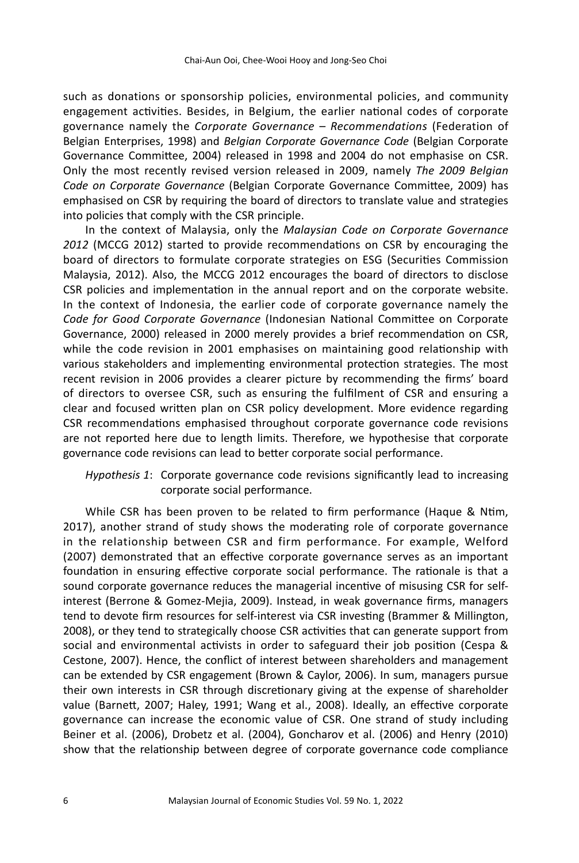such as donations or sponsorship policies, environmental policies, and community engagement activities. Besides, in Belgium, the earlier national codes of corporate governance namely the *Corporate Governance – Recommendations* (Federation of Belgian Enterprises, 1998) and *Belgian Corporate Governance Code* (Belgian Corporate Governance Committee, 2004) released in 1998 and 2004 do not emphasise on CSR. Only the most recently revised version released in 2009, namely *The 2009 Belgian Code on Corporate Governance* (Belgian Corporate Governance Committee, 2009) has emphasised on CSR by requiring the board of directors to translate value and strategies into policies that comply with the CSR principle.

In the context of Malaysia, only the *Malaysian Code on Corporate Governance 2012* (MCCG 2012) started to provide recommendations on CSR by encouraging the board of directors to formulate corporate strategies on ESG (Securities Commission Malaysia, 2012). Also, the MCCG 2012 encourages the board of directors to disclose CSR policies and implementation in the annual report and on the corporate website. In the context of Indonesia, the earlier code of corporate governance namely the *Code for Good Corporate Governance* (Indonesian National Committee on Corporate Governance, 2000) released in 2000 merely provides a brief recommendation on CSR, while the code revision in 2001 emphasises on maintaining good relationship with various stakeholders and implementing environmental protection strategies. The most recent revision in 2006 provides a clearer picture by recommending the firms' board of directors to oversee CSR, such as ensuring the fulfilment of CSR and ensuring a clear and focused written plan on CSR policy development. More evidence regarding CSR recommendations emphasised throughout corporate governance code revisions are not reported here due to length limits. Therefore, we hypothesise that corporate governance code revisions can lead to better corporate social performance.

# *Hypothesis 1*: Corporate governance code revisions significantly lead to increasing corporate social performance.

While CSR has been proven to be related to firm performance (Haque & Ntim, 2017), another strand of study shows the moderating role of corporate governance in the relationship between CSR and firm performance. For example, Welford (2007) demonstrated that an effective corporate governance serves as an important foundation in ensuring effective corporate social performance. The rationale is that a sound corporate governance reduces the managerial incentive of misusing CSR for selfinterest (Berrone & Gomez-Mejia, 2009). Instead, in weak governance firms, managers tend to devote firm resources for self-interest via CSR investing (Brammer & Millington, 2008), or they tend to strategically choose CSR activities that can generate support from social and environmental activists in order to safeguard their job position (Cespa & Cestone, 2007). Hence, the conflict of interest between shareholders and management can be extended by CSR engagement (Brown & Caylor, 2006). In sum, managers pursue their own interests in CSR through discretionary giving at the expense of shareholder value (Barnett, 2007; Haley, 1991; Wang et al., 2008). Ideally, an effective corporate governance can increase the economic value of CSR. One strand of study including Beiner et al. (2006), Drobetz et al. (2004), Goncharov et al. (2006) and Henry (2010) show that the relationship between degree of corporate governance code compliance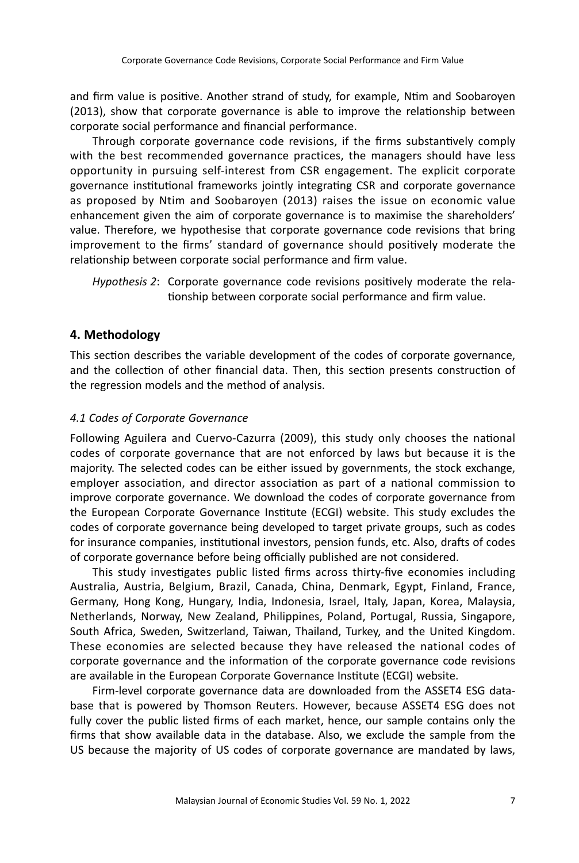and firm value is positive. Another strand of study, for example, Ntim and Soobaroyen (2013), show that corporate governance is able to improve the relationship between corporate social performance and financial performance.

Through corporate governance code revisions, if the firms substantively comply with the best recommended governance practices, the managers should have less opportunity in pursuing self-interest from CSR engagement. The explicit corporate governance institutional frameworks jointly integrating CSR and corporate governance as proposed by Ntim and Soobaroyen (2013) raises the issue on economic value enhancement given the aim of corporate governance is to maximise the shareholders' value. Therefore, we hypothesise that corporate governance code revisions that bring improvement to the firms' standard of governance should positively moderate the relationship between corporate social performance and firm value.

*Hypothesis 2*: Corporate governance code revisions positively moderate the relationship between corporate social performance and firm value.

# **4. Methodology**

This section describes the variable development of the codes of corporate governance, and the collection of other financial data. Then, this section presents construction of the regression models and the method of analysis.

# *4.1 Codes of Corporate Governance*

Following Aguilera and Cuervo-Cazurra (2009), this study only chooses the national codes of corporate governance that are not enforced by laws but because it is the majority. The selected codes can be either issued by governments, the stock exchange, employer association, and director association as part of a national commission to improve corporate governance. We download the codes of corporate governance from the European Corporate Governance Institute (ECGI) website. This study excludes the codes of corporate governance being developed to target private groups, such as codes for insurance companies, institutional investors, pension funds, etc. Also, drafts of codes of corporate governance before being officially published are not considered.

This study investigates public listed firms across thirty-five economies including Australia, Austria, Belgium, Brazil, Canada, China, Denmark, Egypt, Finland, France, Germany, Hong Kong, Hungary, India, Indonesia, Israel, Italy, Japan, Korea, Malaysia, Netherlands, Norway, New Zealand, Philippines, Poland, Portugal, Russia, Singapore, South Africa, Sweden, Switzerland, Taiwan, Thailand, Turkey, and the United Kingdom. These economies are selected because they have released the national codes of corporate governance and the information of the corporate governance code revisions are available in the European Corporate Governance Institute (ECGI) website.

Firm-level corporate governance data are downloaded from the ASSET4 ESG database that is powered by Thomson Reuters. However, because ASSET4 ESG does not fully cover the public listed firms of each market, hence, our sample contains only the firms that show available data in the database. Also, we exclude the sample from the US because the majority of US codes of corporate governance are mandated by laws,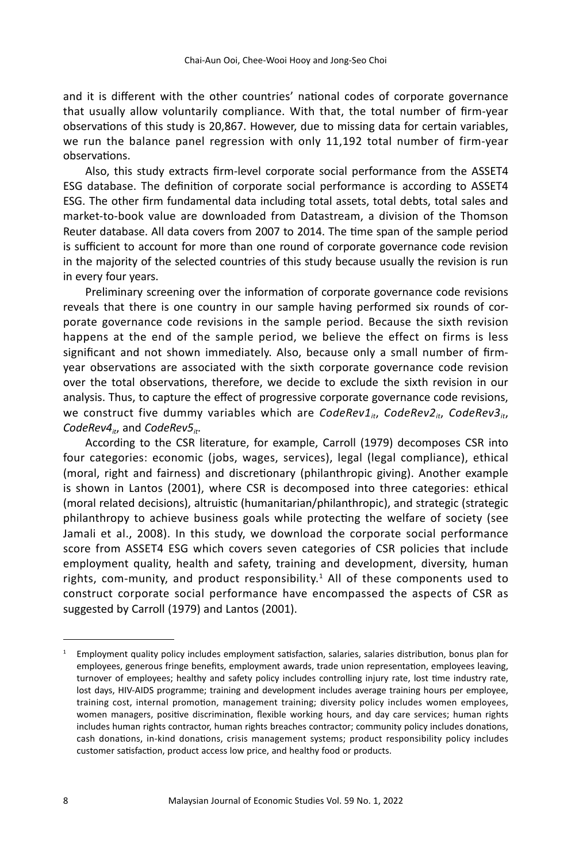and it is different with the other countries' national codes of corporate governance that usually allow voluntarily compliance. With that, the total number of firm-year observations of this study is 20,867. However, due to missing data for certain variables, we run the balance panel regression with only 11,192 total number of firm-year observations.

Also, this study extracts firm-level corporate social performance from the ASSET4 ESG database. The definition of corporate social performance is according to ASSET4 ESG. The other firm fundamental data including total assets, total debts, total sales and market-to-book value are downloaded from Datastream, a division of the Thomson Reuter database. All data covers from 2007 to 2014. The time span of the sample period is sufficient to account for more than one round of corporate governance code revision in the majority of the selected countries of this study because usually the revision is run in every four years.

Preliminary screening over the information of corporate governance code revisions reveals that there is one country in our sample having performed six rounds of corporate governance code revisions in the sample period. Because the sixth revision happens at the end of the sample period, we believe the effect on firms is less significant and not shown immediately. Also, because only a small number of firmyear observations are associated with the sixth corporate governance code revision over the total observations, therefore, we decide to exclude the sixth revision in our analysis. Thus, to capture the effect of progressive corporate governance code revisions, we construct five dummy variables which are *CodeRev1<sub>it</sub>*, *CodeRev2<sub>it</sub>*, *CodeRev3<sub>it</sub>*, CodeRev4<sub>it</sub>, and CodeRev5<sub>it</sub>.

According to the CSR literature, for example, Carroll (1979) decomposes CSR into four categories: economic (jobs, wages, services), legal (legal compliance), ethical (moral, right and fairness) and discretionary (philanthropic giving). Another example is shown in Lantos (2001), where CSR is decomposed into three categories: ethical (moral related decisions), altruistic (humanitarian/philanthropic), and strategic (strategic philanthropy to achieve business goals while protecting the welfare of society (see Jamali et al., 2008). In this study, we download the corporate social performance score from ASSET4 ESG which covers seven categories of CSR policies that include employment quality, health and safety, training and development, diversity, human rights, com-munity, and product responsibility.<sup>1</sup> All of these components used to construct corporate social performance have encompassed the aspects of CSR as suggested by Carroll (1979) and Lantos (2001).

 $1$  Employment quality policy includes employment satisfaction, salaries, salaries distribution, bonus plan for employees, generous fringe benefits, employment awards, trade union representation, employees leaving, turnover of employees; healthy and safety policy includes controlling injury rate, lost time industry rate, lost days, HIV-AIDS programme; training and development includes average training hours per employee, training cost, internal promotion, management training; diversity policy includes women employees, women managers, positive discrimination, flexible working hours, and day care services; human rights includes human rights contractor, human rights breaches contractor; community policy includes donations, cash donations, in-kind donations, crisis management systems; product responsibility policy includes customer satisfaction, product access low price, and healthy food or products.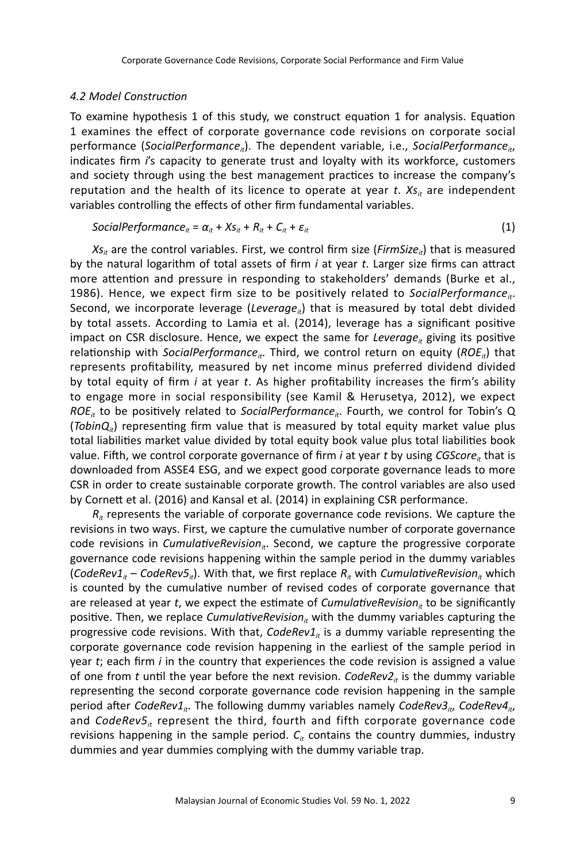#### *4.2 Model Construction*

To examine hypothesis 1 of this study, we construct equation 1 for analysis. Equation 1 examines the effect of corporate governance code revisions on corporate social performance (*SocialPerformance<sub>it</sub>*). The dependent variable, i.e., *SocialPerformance<sub>it</sub>*, indicates firm *i*'s capacity to generate trust and loyalty with its workforce, customers and society through using the best management practices to increase the company's reputation and the health of its licence to operate at year *t*.  $X_{S_{ir}}$  are independent variables controlling the effects of other firm fundamental variables.

$$
SocialPerformance_{it} = \alpha_{it} + Xs_{it} + R_{it} + C_{it} + \varepsilon_{it}
$$
\n(1)

 $X_{s_i}$  are the control variables. First, we control firm size (*FirmSize<sub>it</sub>*) that is measured by the natural logarithm of total assets of firm *i* at year *t*. Larger size firms can attract more attention and pressure in responding to stakeholders' demands (Burke et al., 1986). Hence, we expect firm size to be positively related to *SocialPerformance<sub>it</sub>*. Second, we incorporate leverage (*Leverage<sub>ii</sub>*) that is measured by total debt divided by total assets. According to Lamia et al. (2014), leverage has a significant positive impact on CSR disclosure. Hence, we expect the same for *Leverage<sub>it</sub>* giving its positive relationship with *SocialPerformance<sub>it</sub>*. Third, we control return on equity (*ROE<sub>it</sub>*) that represents profitability, measured by net income minus preferred dividend divided by total equity of firm *i* at year *t*. As higher profitability increases the firm's ability to engage more in social responsibility (see Kamil & Herusetya, 2012), we expect *ROE<sub>it</sub>* to be positively related to *SocialPerformance<sub>it</sub>*. Fourth, we control for Tobin's Q (*TobinQ<sub>it</sub>*) representing firm value that is measured by total equity market value plus total liabilities market value divided by total equity book value plus total liabilities book value. Fifth, we control corporate governance of firm *i* at year *t* by using *CGScore<sub>it</sub>* that is downloaded from ASSE4 ESG, and we expect good corporate governance leads to more CSR in order to create sustainable corporate growth. The control variables are also used by Cornett et al. (2016) and Kansal et al. (2014) in explaining CSR performance.

 $R<sub>i</sub>$  represents the variable of corporate governance code revisions. We capture the revisions in two ways. First, we capture the cumulative number of corporate governance code revisions in *CumulativeRevision<sub>it</sub>*. Second, we capture the progressive corporate governance code revisions happening within the sample period in the dummy variables (*CodeRev1<sub>it</sub>* – *CodeRev5<sub>it</sub>*). With that, we first replace  $R_i$  with *CumulativeRevision<sub>it</sub>* which is counted by the cumulative number of revised codes of corporate governance that are released at year *t*, we expect the estimate of *CumulativeRevision*<sub>it</sub> to be significantly positive. Then, we replace *CumulativeRevision<sub>it</sub>* with the dummy variables capturing the progressive code revisions. With that,  $CodeRev1<sub>t</sub>$  is a dummy variable representing the corporate governance code revision happening in the earliest of the sample period in year *t*; each firm *i* in the country that experiences the code revision is assigned a value of one from *t* until the year before the next revision. *CodeRev2<sub>it</sub>* is the dummy variable representing the second corporate governance code revision happening in the sample period after *CodeRev1<sub>it</sub>*. The following dummy variables namely *CodeRev3<sub>it</sub>*, *CodeRev4<sub>it</sub>*, and *CodeRev5<sub>it</sub>* represent the third, fourth and fifth corporate governance code revisions happening in the sample period.  $C_{it}$  contains the country dummies, industry dummies and year dummies complying with the dummy variable trap.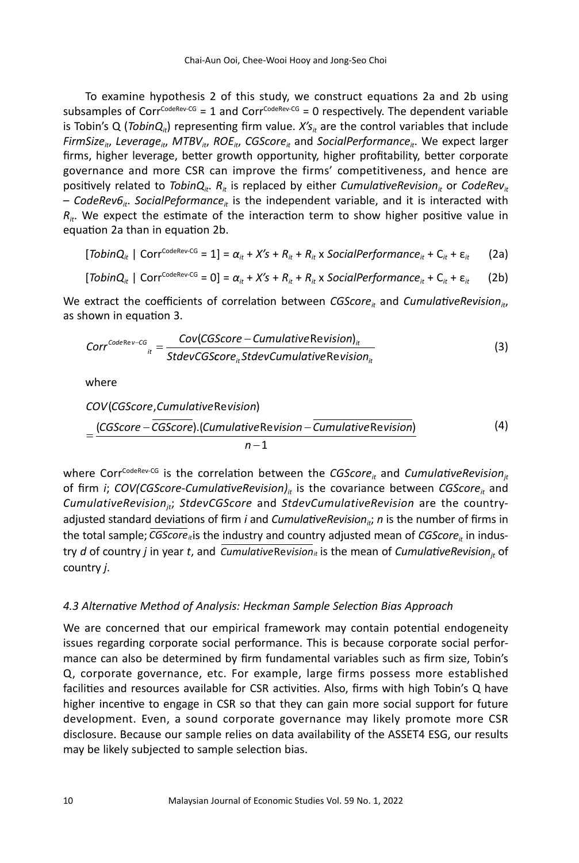To examine hypothesis 2 of this study, we construct equations 2a and 2b using subsamples of Corr<sup>CodeRev-CG</sup> = 1 and Corr<sup>CodeRev-CG</sup> = 0 respectively. The dependent variable is Tobin's Q (*TobinQ<sub>it</sub>*) representing firm value.  $X's_{it}$  are the control variables that include *FirmSize<sub>it</sub>*, *Leverage<sub>it</sub>*, *MTBV<sub>it</sub>*, *ROE<sub>it</sub>*, *CGScore<sub>it</sub>* and *SocialPerformance<sub>it</sub>*. We expect larger firms, higher leverage, better growth opportunity, higher profitability, better corporate governance and more CSR can improve the firms' competitiveness, and hence are positively related to *TobinQ<sub>it</sub>*.  $R_i$  is replaced by either *CumulativeRevision<sub>it</sub>* or *CodeRev<sub>it</sub>* - CodeRev6<sub>it</sub>. SocialPeformance<sub>it</sub> is the independent variable, and it is interacted with  $R_{it}$ . We expect the estimate of the interaction term to show higher positive value in equation 2a than in equation 2b.

$$
[TobinQ_{it} \mid \text{Corr}^{\text{CodeRev-G}} = 1] = \alpha_{it} + X's + R_{it} + R_{it} \times \text{SocialPerformance}_{it} + C_{it} + \epsilon_{it} \qquad (2a)
$$

$$
[TobinQ_{it} \mid Corr^{CodeRev-GG} = 0] = \alpha_{it} + X's + R_{it} + R_{it} \times SocialPerformance_{it} + C_{it} + \epsilon_{it}
$$
 (2b)

We extract the coefficients of correlation between *CGScore<sub>it</sub>* and *CumulativeRevision<sub>it</sub>*, as shown in equation 3.

$$
Corr^{CodeRev-CG} = \frac{Cov(GScore - CumulativeRevision)}{StdevCGScore_{ir}StdevCumulativeRevision_{ir}}
$$
\n(3)

where

 $COV$ (CGScore, Cumulative Revision)

$$
=\frac{(CGScore - \overline{CGScore}).(Cumulative Revision - \overline{Cumulative Revision})}{n-1}
$$
(4)

where Corr<sup>CodeRev-CG</sup> is the correlation between the *CGScore<sub>it</sub>* and *CumulativeRevision*<sub>it</sub> of firm *i*; *COV*(*CGScore-CumulativeRevision*)<sub>it</sub> is the covariance between *CGScore*<sub>it</sub> and *CumulativeRevisionjt*; *StdevCGScore* and *StdevCumulativeRevision* are the countryadjusted standard deviations of firm *i* and *CumulativeRevision<sub>ii</sub>; n* is the number of firms in  $R$  the total sample; *CGScore*<sub>*i*t</sub> is the industry and country adjusted mean of *CGScore*<sub>*it*</sub> in industry *d* of country *j* in year *t*, and *CumulativeRevision<sub>it</sub>* is the mean of *CumulativeRevision<sub>jt</sub>* of country *j*.

# *4.3 Alternative Method of Analysis: Heckman Sample Selection Bias Approach*

We are concerned that our empirical framework may contain potential endogeneity issues regarding corporate social performance. This is because corporate social performance can also be determined by firm fundamental variables such as firm size, Tobin's Q, corporate governance, etc. For example, large firms possess more established facilities and resources available for CSR activities. Also, firms with high Tobin's Q have higher incentive to engage in CSR so that they can gain more social support for future development. Even, a sound corporate governance may likely promote more CSR disclosure. Because our sample relies on data availability of the ASSET4 ESG, our results may be likely subjected to sample selection bias.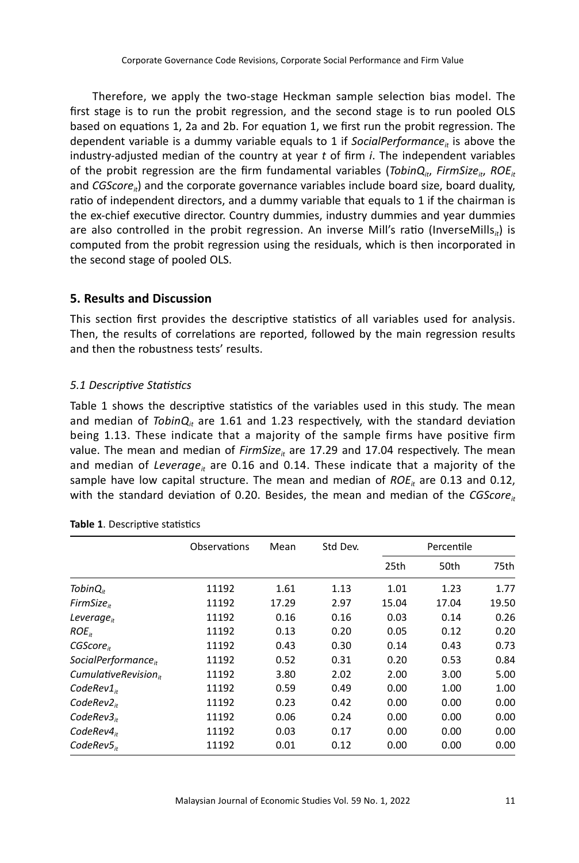Therefore, we apply the two-stage Heckman sample selection bias model. The first stage is to run the probit regression, and the second stage is to run pooled OLS based on equations 1, 2a and 2b. For equation 1, we first run the probit regression. The dependent variable is a dummy variable equals to 1 if *SocialPerformance<sub>it</sub>* is above the industry-adjusted median of the country at year *t* of firm *i*. The independent variables of the probit regression are the firm fundamental variables (*TobinQ<sub>it</sub>*, *FirmSize<sub>it</sub>*, *ROE<sub>it</sub>* and *CGScore<sub>it</sub>*) and the corporate governance variables include board size, board duality, ratio of independent directors, and a dummy variable that equals to 1 if the chairman is the ex-chief executive director. Country dummies, industry dummies and year dummies are also controlled in the probit regression. An inverse Mill's ratio (InverseMills<sub>it</sub>) is computed from the probit regression using the residuals, which is then incorporated in the second stage of pooled OLS.

# **5. Results and Discussion**

This section first provides the descriptive statistics of all variables used for analysis. Then, the results of correlations are reported, followed by the main regression results and then the robustness tests' results.

# *5.1 Descriptive Statistics*

Table 1 shows the descriptive statistics of the variables used in this study. The mean and median of  $TobinQ<sub>it</sub>$  are 1.61 and 1.23 respectively, with the standard deviation being 1.13. These indicate that a majority of the sample firms have positive firm value. The mean and median of *FirmSize<sub>it</sub>* are 17.29 and 17.04 respectively. The mean and median of *Leverage<sub>it</sub>* are 0.16 and 0.14. These indicate that a majority of the sample have low capital structure. The mean and median of  $ROE<sub>it</sub>$  are 0.13 and 0.12, with the standard deviation of 0.20. Besides, the mean and median of the  $CGScore_{it}$ 

|                                   | Observations | Mean  | Std Dev. |       | Percentile |       |
|-----------------------------------|--------------|-------|----------|-------|------------|-------|
|                                   |              |       |          | 25th  | 50th       | 75th  |
| Tobin $Q_{ir}$                    | 11192        | 1.61  | 1.13     | 1.01  | 1.23       | 1.77  |
| FirmSize <sub>ir</sub>            | 11192        | 17.29 | 2.97     | 15.04 | 17.04      | 19.50 |
| Leverage $_{it}$                  | 11192        | 0.16  | 0.16     | 0.03  | 0.14       | 0.26  |
| $ROE_{it}$                        | 11192        | 0.13  | 0.20     | 0.05  | 0.12       | 0.20  |
| CGScore <sub>ir</sub>             | 11192        | 0.43  | 0.30     | 0.14  | 0.43       | 0.73  |
| SocialPerformance $_{ir}$         | 11192        | 0.52  | 0.31     | 0.20  | 0.53       | 0.84  |
| Cumulative Revision <sub>ir</sub> | 11192        | 3.80  | 2.02     | 2.00  | 3.00       | 5.00  |
| $CodeRev1_{ir}$                   | 11192        | 0.59  | 0.49     | 0.00  | 1.00       | 1.00  |
| CodeRev2 <sub>ir</sub>            | 11192        | 0.23  | 0.42     | 0.00  | 0.00       | 0.00  |
| CodeRev3 <sub>ir</sub>            | 11192        | 0.06  | 0.24     | 0.00  | 0.00       | 0.00  |
| CodeRev4 <sub>ir</sub>            | 11192        | 0.03  | 0.17     | 0.00  | 0.00       | 0.00  |
| CodeRev5 <sub>n</sub>             | 11192        | 0.01  | 0.12     | 0.00  | 0.00       | 0.00  |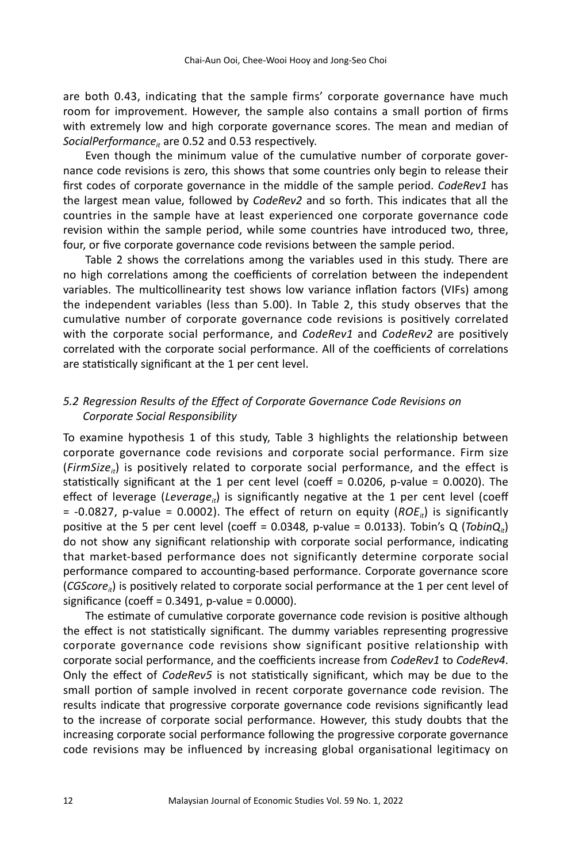are both 0.43, indicating that the sample firms' corporate governance have much room for improvement. However, the sample also contains a small portion of firms with extremely low and high corporate governance scores. The mean and median of SocialPerformance<sub>it</sub> are 0.52 and 0.53 respectively.

Even though the minimum value of the cumulative number of corporate governance code revisions is zero, this shows that some countries only begin to release their first codes of corporate governance in the middle of the sample period. *CodeRev1* has the largest mean value, followed by *CodeRev2* and so forth. This indicates that all the countries in the sample have at least experienced one corporate governance code revision within the sample period, while some countries have introduced two, three, four, or five corporate governance code revisions between the sample period.

Table 2 shows the correlations among the variables used in this study. There are no high correlations among the coefficients of correlation between the independent variables. The multicollinearity test shows low variance inflation factors (VIFs) among the independent variables (less than 5.00). In Table 2, this study observes that the cumulative number of corporate governance code revisions is positively correlated with the corporate social performance, and *CodeRev1* and *CodeRev2* are positively correlated with the corporate social performance. All of the coefficients of correlations are statistically significant at the 1 per cent level.

# *5.2 Regression Results of the Effect of Corporate Governance Code Revisions on Corporate Social Responsibility*

To examine hypothesis 1 of this study, Table 3 highlights the relationship between corporate governance code revisions and corporate social performance. Firm size (*FirmSize<sub>ii</sub>*) is positively related to corporate social performance, and the effect is statistically significant at the 1 per cent level (coeff =  $0.0206$ , p-value =  $0.0020$ ). The effect of leverage (*Leverage<sub>it</sub>*) is significantly negative at the 1 per cent level (coeff  $= -0.0827$ , p-value = 0.0002). The effect of return on equity (*ROE<sub>it</sub>*) is significantly positive at the 5 per cent level (coeff =  $0.0348$ , p-value =  $0.0133$ ). Tobin's Q (*TobinQ<sub>it</sub>*) do not show any significant relationship with corporate social performance, indicating that market-based performance does not significantly determine corporate social performance compared to accounting-based performance. Corporate governance score (*CGScore<sub>it</sub>*) is positively related to corporate social performance at the 1 per cent level of significance (coeff = 0.3491, p-value = 0.0000).

The estimate of cumulative corporate governance code revision is positive although the effect is not statistically significant. The dummy variables representing progressive corporate governance code revisions show significant positive relationship with corporate social performance, and the coefficients increase from *CodeRev1* to *CodeRev4*. Only the effect of *CodeRev5* is not statistically significant, which may be due to the small portion of sample involved in recent corporate governance code revision. The results indicate that progressive corporate governance code revisions significantly lead to the increase of corporate social performance. However, this study doubts that the increasing corporate social performance following the progressive corporate governance code revisions may be influenced by increasing global organisational legitimacy on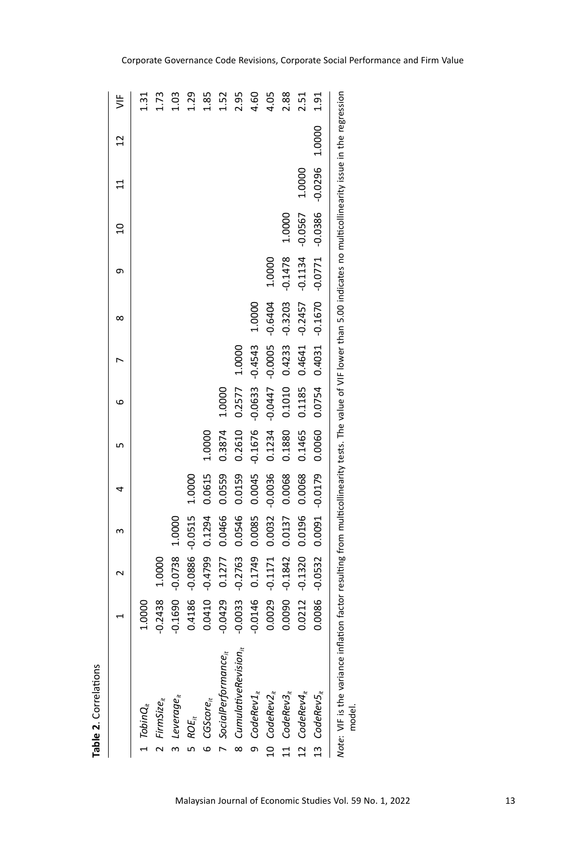| Table 2. Correlations                                                                                                                                                      |           |           |           |           |           |           |           |           |           |                |           |        |               |
|----------------------------------------------------------------------------------------------------------------------------------------------------------------------------|-----------|-----------|-----------|-----------|-----------|-----------|-----------|-----------|-----------|----------------|-----------|--------|---------------|
|                                                                                                                                                                            |           |           |           | 4         | L∩        | ဖ         |           | ∞         | თ         | $\overline{a}$ |           | 51     | $\frac{1}{2}$ |
| $TobinQ_{it}$                                                                                                                                                              | 1.0000    |           |           |           |           |           |           |           |           |                |           |        | 1.31          |
| 2 FirmSize $_{it}$                                                                                                                                                         | 0.2438    | 1.0000    |           |           |           |           |           |           |           |                |           |        | 1.73          |
| 3 Leverage $_{it}$                                                                                                                                                         | 0.1690    | $-0.0738$ | 1.0000    |           |           |           |           |           |           |                |           |        | 1.03          |
| $\mathsf{ROE}_\hbar$                                                                                                                                                       | 0.4186    | $-0.0886$ | $-0.0515$ | 1.0000    |           |           |           |           |           |                |           |        | 1.29          |
| $6$ CGScore $_{it}$                                                                                                                                                        | 0.0410    | $-0.4799$ | 0.1294    | 0.0615    | 1.0000    |           |           |           |           |                |           |        | 1.85          |
| 7 Social $P$ erformance $_{it}$                                                                                                                                            | $-0.0429$ | 0.1277    | 0.0466    | 0.0559    | 0.3874    | 1.0000    |           |           |           |                |           |        | 1.52          |
| 8 $Cumulative Revisionit$                                                                                                                                                  | $-0.0033$ | $-0.2763$ | 0.0546    | 0.0159    | 0.2610    | 0.2577    | 1.0000    |           |           |                |           |        | 2.95          |
| $9$ CodeRev1 <sub>it</sub>                                                                                                                                                 | $-0.0146$ | 0.1749    | 0.0085    | 0.0045    | $-0.1676$ | $-0.0633$ | $-0.4543$ | 1.0000    |           |                |           |        | 4.60          |
| 10 $CodeRev2_{it}$                                                                                                                                                         | 0.0029    | $-0.1171$ | 0.0032    | $-0.0036$ | 0.1234    | $-0.0447$ | $-0.0005$ | $-0.6404$ | 1.0000    |                |           |        | 4.05          |
| 11 $CodeRev3_{it}$                                                                                                                                                         | 0.0090    | $-0.1842$ | 0.0137    | 0.0068    | 0.1880    | 0.1010    | 0.4233    | $-0.3203$ | $-0.1478$ | 1.0000         |           |        | 2.88          |
| 12 $CodeReV4_{it}$                                                                                                                                                         | 0.0212    | $-0.1320$ | 0.0196    | 0.0068    | 0.1465    | 0.1185    | 0.4641    | $-0.2457$ | $-0.1134$ | $-0.0567$      | 1.0000    |        | 2.51          |
| 13 $CodeRev5_{it}$                                                                                                                                                         | 0.0086    | $-0.0532$ | 0.0091    | $-0.0179$ | 0.0060    | 0.0754    | 0.4031    | $-0.1670$ | $-0.0771$ | $-0.0386$      | $-0.0296$ | 1.0000 | 1.91          |
| Note: VIF is the variance inflation factor resulting from multicollinearity tests. The value of VIF lower than 5.00 indicates no multicollinearity issue in the regression |           |           |           |           |           |           |           |           |           |                |           |        |               |

*Note*: VIF is the variance inflation factor resulting from multicollinearity tests. The value of VIF lower than 5.00 indicates no multicollinearity issue in the regression ā  $\ddot{\phantom{0}}$ L a model.

#### Corporate Governance Code Revisions, Corporate Social Performance and Firm Value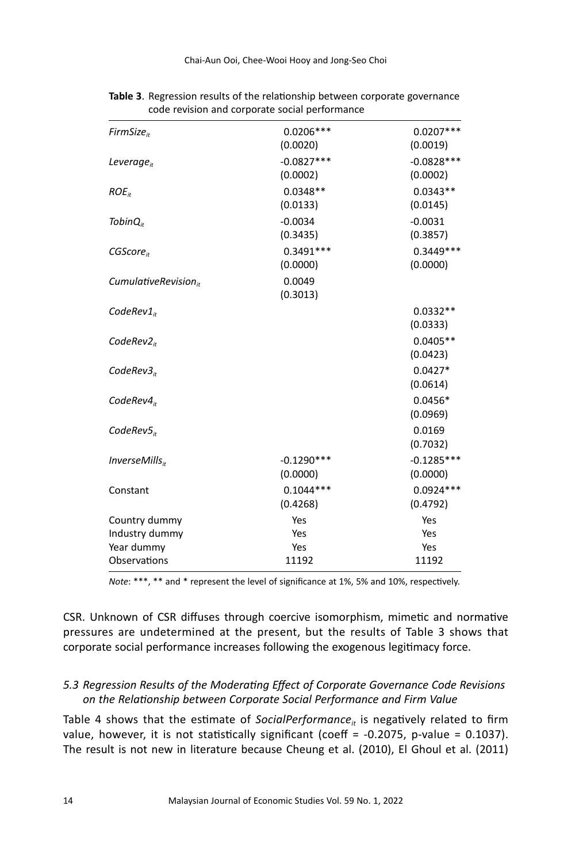| FirmSize <sub>ir</sub>     | $0.0206***$  | $0.0207***$  |
|----------------------------|--------------|--------------|
|                            | (0.0020)     | (0.0019)     |
| Leverage $_{it}$           | $-0.0827***$ | $-0.0828***$ |
|                            | (0.0002)     | (0.0002)     |
| $ROE_{it}$                 | $0.0348**$   | $0.0343**$   |
|                            | (0.0133)     | (0.0145)     |
| Tobin $Q_{ir}$             | $-0.0034$    | $-0.0031$    |
|                            | (0.3435)     | (0.3857)     |
| CGScore <sub>ir</sub>      | $0.3491***$  | $0.3449***$  |
|                            | (0.0000)     | (0.0000)     |
| CumulativeRevision $_{it}$ | 0.0049       |              |
|                            | (0.3013)     |              |
| $CodeRev1_{ir}$            |              | $0.0332**$   |
|                            |              | (0.0333)     |
| CodeRev2 <sub>ir</sub>     |              | $0.0405**$   |
|                            |              | (0.0423)     |
| CodeRev3 <sub>ir</sub>     |              | $0.0427*$    |
|                            |              | (0.0614)     |
| CodeRev4 <sub>ir</sub>     |              | $0.0456*$    |
|                            |              | (0.0969)     |
| CodeRev5 <sub>i</sub>      |              | 0.0169       |
|                            |              | (0.7032)     |
| $InverseMills_{it}$        | $-0.1290***$ | $-0.1285***$ |
|                            | (0.0000)     | (0.0000)     |
| Constant                   | $0.1044***$  | $0.0924***$  |
|                            | (0.4268)     | (0.4792)     |
| Country dummy              | Yes          | Yes          |
| Industry dummy             | Yes          | Yes          |
| Year dummy                 | Yes          | Yes          |
| Observations               | 11192        | 11192        |

**Table 3**. Regression results of the relationship between corporate governance code revision and corporate social performance

*Note*: \*\*\*, \*\* and \* represent the level of significance at 1%, 5% and 10%, respectively.

CSR. Unknown of CSR diffuses through coercive isomorphism, mimetic and normative pressures are undetermined at the present, but the results of Table 3 shows that corporate social performance increases following the exogenous legitimacy force.

# *5.3 Regression Results of the Moderating Effect of Corporate Governance Code Revisions on the Relationship between Corporate Social Performance and Firm Value*

Table 4 shows that the estimate of *SocialPerformance<sub>it</sub>* is negatively related to firm value, however, it is not statistically significant (coeff =  $-0.2075$ , p-value = 0.1037). The result is not new in literature because Cheung et al. (2010), El Ghoul et al. (2011)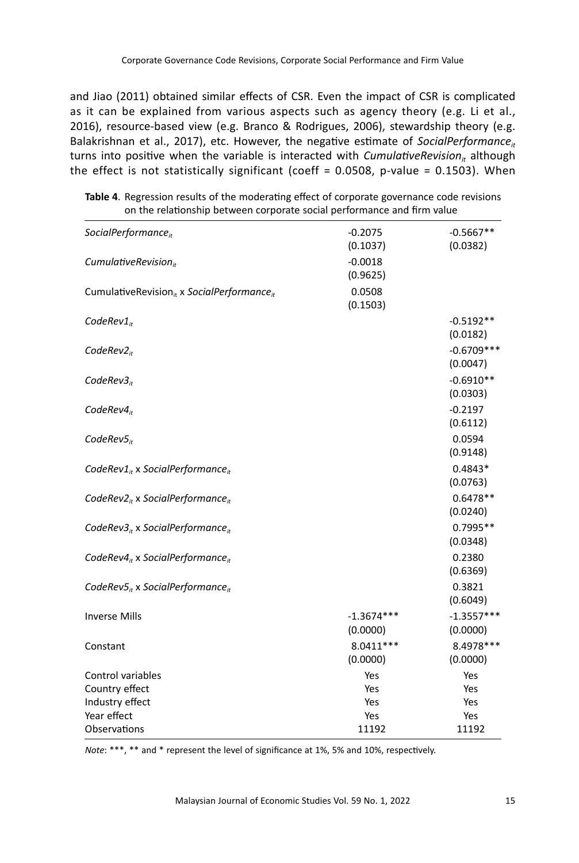and Jiao (2011) obtained similar effects of CSR. Even the impact of CSR is complicated as it can be explained from various aspects such as agency theory (e.g. Li et al., 2016), resource-based view (e.g. Branco & Rodrigues, 2006), stewardship theory (e.g. Balakrishnan et al., 2017), etc. However, the negative estimate of *SocialPerformance<sub>it</sub>* turns into positive when the variable is interacted with *CumulativeRevision<sub>it</sub>* although the effect is not statistically significant (coeff =  $0.0508$ , p-value =  $0.1503$ ). When

| SocialPerformance $_{it}$                                          | $-0.2075$<br>(0.1037)    | $-0.5667**$<br>(0.0382)  |
|--------------------------------------------------------------------|--------------------------|--------------------------|
| CumulativeRevision $_{it}$                                         | $-0.0018$<br>(0.9625)    |                          |
| CumulativeRevision <sub>it</sub> x SocialPerformance <sub>it</sub> | 0.0508<br>(0.1503)       |                          |
| CodeRev $1_{it}$                                                   |                          | $-0.5192**$<br>(0.0182)  |
| CodeRev $2_{it}$                                                   |                          | $-0.6709***$<br>(0.0047) |
| CodeRev3 <sub>ir</sub>                                             |                          | $-0.6910**$<br>(0.0303)  |
| CodeRev4 <sub>ir</sub>                                             |                          | $-0.2197$<br>(0.6112)    |
| CodeRev $5_{it}$                                                   |                          | 0.0594<br>(0.9148)       |
| CodeRev1 $_{it}$ x SocialPerformance $_{it}$                       |                          | $0.4843*$<br>(0.0763)    |
| CodeRev2 <sub>it</sub> x SocialPerformance <sub>it</sub>           |                          | $0.6478**$<br>(0.0240)   |
| CodeRev3 <sub>it</sub> x SocialPerformance <sub>it</sub>           |                          | 0.7995**<br>(0.0348)     |
| CodeRev $4_{it}$ x SocialPerformance $_{it}$                       |                          | 0.2380<br>(0.6369)       |
| CodeRev $5_{it}$ x SocialPerformance <sub>it</sub>                 |                          | 0.3821<br>(0.6049)       |
| <b>Inverse Mills</b>                                               | $-1.3674***$<br>(0.0000) | $-1.3557***$<br>(0.0000) |
| Constant                                                           | $8.0411***$<br>(0.0000)  | 8.4978 ***<br>(0.0000)   |
| Control variables                                                  | Yes                      | Yes                      |
| Country effect                                                     | Yes                      | Yes                      |
| Industry effect                                                    | Yes                      | Yes                      |
| Year effect                                                        | Yes                      | Yes                      |
| Observations                                                       | 11192                    | 11192                    |

**Table 4**. Regression results of the moderating effect of corporate governance code revisions on the relationship between corporate social performance and firm value

*Note*: \*\*\*, \*\* and \* represent the level of significance at 1%, 5% and 10%, respectively.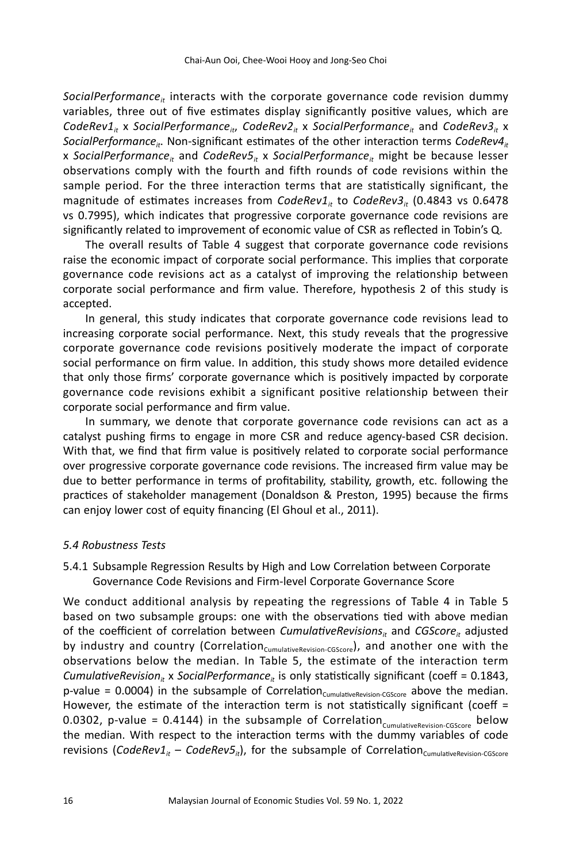SocialPerformance<sub>it</sub> interacts with the corporate governance code revision dummy variables, three out of five estimates display significantly positive values, which are  $CodeRev1<sub>it</sub>$  x *SocialPerformance<sub>it</sub>*, *CodeRev2<sub>it</sub>* x *SocialPerformance<sub>it</sub>* and *CodeRev3<sub>it</sub>* x *SocialPerformance<sub>it</sub>*. Non-significant estimates of the other interaction terms *CodeRev4<sub>it</sub>* x *SocialPerformance<sub>it</sub>* and *CodeRev5<sub>it</sub>* x *SocialPerformance<sub>it</sub>* might be because lesser observations comply with the fourth and fifth rounds of code revisions within the sample period. For the three interaction terms that are statistically significant, the magnitude of estimates increases from *CodeRev1<sub>it</sub>* to *CodeRev3<sub>it</sub>* (0.4843 vs 0.6478) vs 0.7995), which indicates that progressive corporate governance code revisions are significantly related to improvement of economic value of CSR as reflected in Tobin's Q.

The overall results of Table 4 suggest that corporate governance code revisions raise the economic impact of corporate social performance. This implies that corporate governance code revisions act as a catalyst of improving the relationship between corporate social performance and firm value. Therefore, hypothesis 2 of this study is accepted.

In general, this study indicates that corporate governance code revisions lead to increasing corporate social performance. Next, this study reveals that the progressive corporate governance code revisions positively moderate the impact of corporate social performance on firm value. In addition, this study shows more detailed evidence that only those firms' corporate governance which is positively impacted by corporate governance code revisions exhibit a significant positive relationship between their corporate social performance and firm value.

In summary, we denote that corporate governance code revisions can act as a catalyst pushing firms to engage in more CSR and reduce agency-based CSR decision. With that, we find that firm value is positively related to corporate social performance over progressive corporate governance code revisions. The increased firm value may be due to better performance in terms of profitability, stability, growth, etc. following the practices of stakeholder management (Donaldson & Preston, 1995) because the firms can enjoy lower cost of equity financing (El Ghoul et al., 2011).

#### *5.4 Robustness Tests*

5.4.1 Subsample Regression Results by High and Low Correlation between Corporate Governance Code Revisions and Firm-level Corporate Governance Score

We conduct additional analysis by repeating the regressions of Table 4 in Table 5 based on two subsample groups: one with the observations tied with above median of the coefficient of correlation between *CumulativeRevisions*<sup>#</sup> and *CGScore*<sup>#</sup> adjusted by industry and country (Correlation<sub>CumulativeRevision-CGScore</sub>), and another one with the observations below the median. In Table 5, the estimate of the interaction term *CumulativeRevision<sub>it</sub>* x *SocialPerformance<sub>it</sub>* is only statistically significant (coeff = 0.1843, p-value = 0.0004) in the subsample of Correlation<sub>CumulativeRevision-CGScore</sub> above the median. However, the estimate of the interaction term is not statistically significant (coeff  $=$ 0.0302, p-value = 0.4144) in the subsample of Correlation $_{\text{Cumulative Review-CGScore}}$  below the median. With respect to the interaction terms with the dummy variables of code revisions (*CodeRev1<sub>it</sub>* – *CodeRev5<sub>it</sub>*), for the subsample of Correlation<sub>CumulativeRevision-CGScore</sub>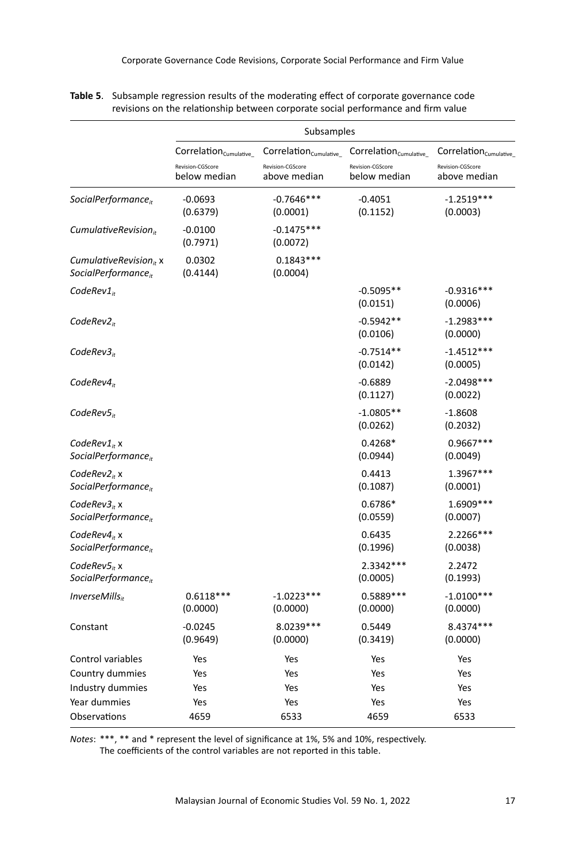|                                                             | Subsamples                                                            |                                                                       |                                                                           |                                                                       |  |
|-------------------------------------------------------------|-----------------------------------------------------------------------|-----------------------------------------------------------------------|---------------------------------------------------------------------------|-----------------------------------------------------------------------|--|
|                                                             | $Correlation_{\text{Cumulative}}$<br>Revision-CGScore<br>below median | $Correlation_{\text{Cumulative}}$<br>Revision-CGScore<br>above median | $Correlation_{\text{Cumulative}_{-}}$<br>Revision-CGScore<br>below median | Correlation <sub>Cumulative</sub><br>Revision-CGScore<br>above median |  |
| SocialPerformance <sub>it</sub>                             | $-0.0693$<br>(0.6379)                                                 | $-0.7646***$<br>(0.0001)                                              | $-0.4051$<br>(0.1152)                                                     | $-1.2519***$<br>(0.0003)                                              |  |
| Cumulative Revision <sub>ir</sub>                           | $-0.0100$<br>(0.7971)                                                 | $-0.1475***$<br>(0.0072)                                              |                                                                           |                                                                       |  |
| Cumulative Revision $_{it}$ x<br>SocialPerformance $_{it}$  | 0.0302<br>(0.4144)                                                    | $0.1843***$<br>(0.0004)                                               |                                                                           |                                                                       |  |
| $CodeRev1_{it}$                                             |                                                                       |                                                                       | $-0.5095**$<br>(0.0151)                                                   | $-0.9316***$<br>(0.0006)                                              |  |
| CodeRev2 <sub>ir</sub>                                      |                                                                       |                                                                       | $-0.5942**$<br>(0.0106)                                                   | $-1.2983***$<br>(0.0000)                                              |  |
| CodeRev3 <sub>ir</sub>                                      |                                                                       |                                                                       | $-0.7514**$<br>(0.0142)                                                   | $-1.4512***$<br>(0.0005)                                              |  |
| CodeRev4 <sub>it</sub>                                      |                                                                       |                                                                       | $-0.6889$<br>(0.1127)                                                     | $-2.0498***$<br>(0.0022)                                              |  |
| $CodeRev5_{it}$                                             |                                                                       |                                                                       | $-1.0805**$<br>(0.0262)                                                   | $-1.8608$<br>(0.2032)                                                 |  |
| $CodeRev1_{it}$ x<br>SocialPerformance <sub>it</sub>        |                                                                       |                                                                       | $0.4268*$<br>(0.0944)                                                     | 0.9667 ***<br>(0.0049)                                                |  |
| CodeRev $2_{it}$ x<br>SocialPerformance <sub>it</sub>       |                                                                       |                                                                       | 0.4413<br>(0.1087)                                                        | 1.3967***<br>(0.0001)                                                 |  |
| CodeRev3 <sub>it</sub> x<br>SocialPerformance <sub>it</sub> |                                                                       |                                                                       | 0.6786*<br>(0.0559)                                                       | 1.6909 ***<br>(0.0007)                                                |  |
| CodeRev $4_{it}$ x<br>SocialPerformance <sub>it</sub>       |                                                                       |                                                                       | 0.6435<br>(0.1996)                                                        | 2.2266***<br>(0.0038)                                                 |  |
| CodeRev5 <sub>it</sub> x<br>SocialPerformance <sub>it</sub> |                                                                       |                                                                       | 2.3342 ***<br>(0.0005)                                                    | 2.2472<br>(0.1993)                                                    |  |
| $InverseMills_{ir}$                                         | $0.6118***$<br>(0.0000)                                               | $-1.0223***$<br>(0.0000)                                              | $0.5889***$<br>(0.0000)                                                   | $-1.0100***$<br>(0.0000)                                              |  |
| Constant                                                    | $-0.0245$<br>(0.9649)                                                 | 8.0239 ***<br>(0.0000)                                                | 0.5449<br>(0.3419)                                                        | 8.4374 ***<br>(0.0000)                                                |  |
| Control variables                                           | Yes                                                                   | Yes                                                                   | Yes                                                                       | Yes                                                                   |  |
| Country dummies                                             | Yes                                                                   | Yes                                                                   | Yes                                                                       | Yes                                                                   |  |
| Industry dummies                                            | Yes                                                                   | Yes                                                                   | Yes                                                                       | Yes                                                                   |  |
| Year dummies                                                | Yes                                                                   | Yes                                                                   | Yes                                                                       | Yes                                                                   |  |
| Observations                                                | 4659                                                                  | 6533                                                                  | 4659                                                                      | 6533                                                                  |  |

**Table 5**. Subsample regression results of the moderating effect of corporate governance code revisions on the relationship between corporate social performance and firm value

*Notes*: \*\*\*, \*\* and \* represent the level of significance at 1%, 5% and 10%, respectively. The coefficients of the control variables are not reported in this table.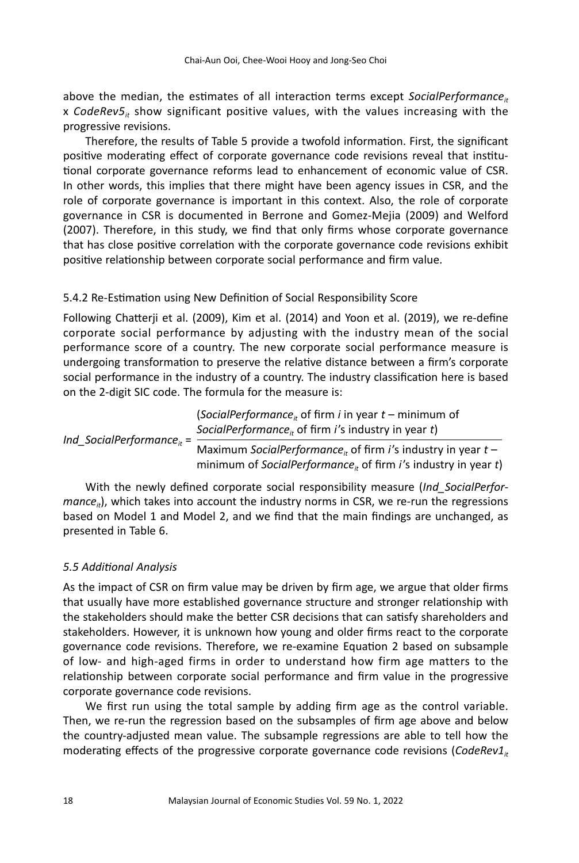above the median, the estimates of all interaction terms except *SocialPerformance<sub>it</sub>* x *CodeRev5it* show significant positive values, with the values increasing with the progressive revisions.

Therefore, the results of Table 5 provide a twofold information. First, the significant positive moderating effect of corporate governance code revisions reveal that institutional corporate governance reforms lead to enhancement of economic value of CSR. In other words, this implies that there might have been agency issues in CSR, and the role of corporate governance is important in this context. Also, the role of corporate governance in CSR is documented in Berrone and Gomez-Mejia (2009) and Welford (2007). Therefore, in this study, we find that only firms whose corporate governance that has close positive correlation with the corporate governance code revisions exhibit positive relationship between corporate social performance and firm value.

# 5.4.2 Re-Estimation using New Definition of Social Responsibility Score

Following Chatterji et al. (2009), Kim et al. (2014) and Yoon et al. (2019), we re-define corporate social performance by adjusting with the industry mean of the social performance score of a country. The new corporate social performance measure is undergoing transformation to preserve the relative distance between a firm's corporate social performance in the industry of a country. The industry classification here is based on the 2-digit SIC code. The formula for the measure is:

(*SocialPerformance<sub>it</sub>* of firm *i* in year *t* – minimum of *SocialPerformance<sub>it</sub>* of firm *i*'s industry in year *t*) Maximum *SocialPerformance*<sub>it</sub> of firm *i*'s industry in year  $t -$ *Ind\_SocialPerformance*<sub>it</sub> =

minimum of *SocialPerformance*<sub>it</sub> of firm *i*'s industry in year *t*)

With the newly defined corporate social responsibility measure (*Ind\_SocialPerfor* $mance_{it}$ ), which takes into account the industry norms in CSR, we re-run the regressions based on Model 1 and Model 2, and we find that the main findings are unchanged, as presented in Table 6.

#### *5.5 Additional Analysis*

As the impact of CSR on firm value may be driven by firm age, we argue that older firms that usually have more established governance structure and stronger relationship with the stakeholders should make the better CSR decisions that can satisfy shareholders and stakeholders. However, it is unknown how young and older firms react to the corporate governance code revisions. Therefore, we re-examine Equation 2 based on subsample of low- and high-aged firms in order to understand how firm age matters to the relationship between corporate social performance and firm value in the progressive corporate governance code revisions.

We first run using the total sample by adding firm age as the control variable. Then, we re-run the regression based on the subsamples of firm age above and below the country-adjusted mean value. The subsample regressions are able to tell how the moderating effects of the progressive corporate governance code revisions (CodeRev1<sub>it</sub>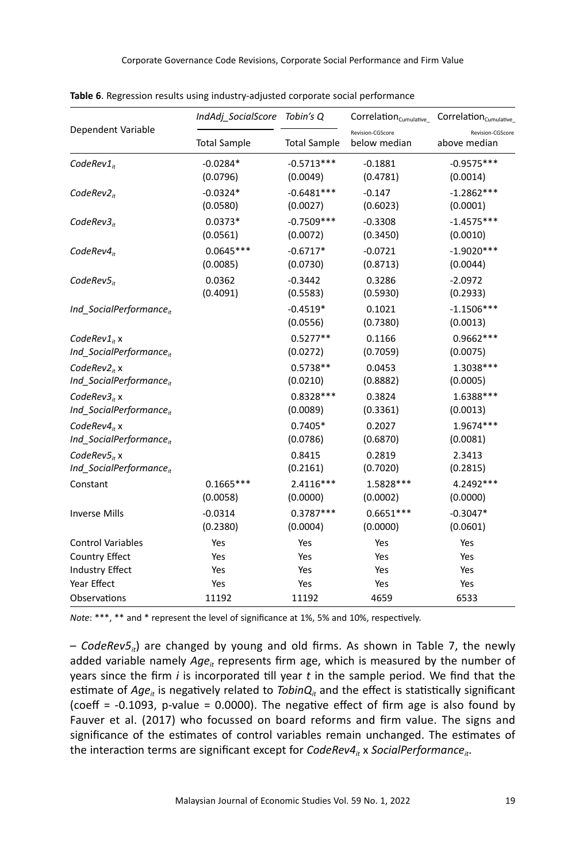|                                     | IndAdj SocialScore Tobin's Q |                        | $Correlation_{Cumulative_{}}$    | Correlation <sub>Cumulative</sub> |
|-------------------------------------|------------------------------|------------------------|----------------------------------|-----------------------------------|
| Dependent Variable                  | <b>Total Sample</b>          | <b>Total Sample</b>    | Revision-CGScore<br>below median | Revision-CGScore<br>above median  |
| $CodeRev1_{it}$                     | $-0.0284*$                   | $-0.5713***$           | $-0.1881$                        | $-0.9575***$                      |
|                                     | (0.0796)                     | (0.0049)               | (0.4781)                         | (0.0014)                          |
| CodeRev2 <sub>ir</sub>              | $-0.0324*$                   | $-0.6481***$           | $-0.147$                         | $-1.2862***$                      |
|                                     | (0.0580)                     | (0.0027)               | (0.6023)                         | (0.0001)                          |
| CodeRev3 <sub>it</sub>              | $0.0373*$                    | $-0.7509***$           | $-0.3308$                        | $-1.4575***$                      |
|                                     | (0.0561)                     | (0.0072)               | (0.3450)                         | (0.0010)                          |
| CodeRev4 <sub>it</sub>              | $0.0645***$                  | $-0.6717*$             | $-0.0721$                        | $-1.9020***$                      |
|                                     | (0.0085)                     | (0.0730)               | (0.8713)                         | (0.0044)                          |
| $CodeRev5_{it}$                     | 0.0362                       | $-0.3442$              | 0.3286                           | $-2.0972$                         |
|                                     | (0.4091)                     | (0.5583)               | (0.5930)                         | (0.2933)                          |
| Ind SocialPerformance <sub>it</sub> |                              | $-0.4519*$<br>(0.0556) | 0.1021<br>(0.7380)               | $-1.1506***$<br>(0.0013)          |
| CodeRev1 <sub>it</sub> x            |                              | $0.5277**$             | 0.1166                           | $0.9662***$                       |
| Ind_SocialPerformance <sub>it</sub> |                              | (0.0272)               | (0.7059)                         | (0.0075)                          |
| CodeRev $2_{it}$ x                  |                              | $0.5738**$             | 0.0453                           | 1.3038 ***                        |
| Ind SocialPerformance <sub>it</sub> |                              | (0.0210)               | (0.8882)                         | (0.0005)                          |
| CodeRev $3i$ x                      |                              | $0.8328***$            | 0.3824                           | 1.6388***                         |
| Ind SocialPerformance <sub>it</sub> |                              | (0.0089)               | (0.3361)                         | (0.0013)                          |
| $CodeRev4_{ir}$ x                   |                              | $0.7405*$              | 0.2027                           | 1.9674 ***                        |
| Ind_SocialPerformance <sub>it</sub> |                              | (0.0786)               | (0.6870)                         | (0.0081)                          |
| $CodeRev5it$ x                      |                              | 0.8415                 | 0.2819                           | 2.3413                            |
| Ind SocialPerformance <sub>it</sub> |                              | (0.2161)               | (0.7020)                         | (0.2815)                          |
| Constant                            | $0.1665***$                  | $2.4116***$            | 1.5828 ***                       | 4.2492 ***                        |
|                                     | (0.0058)                     | (0.0000)               | (0.0002)                         | (0.0000)                          |
| <b>Inverse Mills</b>                | $-0.0314$                    | $0.3787***$            | $0.6651***$                      | $-0.3047*$                        |
|                                     | (0.2380)                     | (0.0004)               | (0.0000)                         | (0.0601)                          |
| <b>Control Variables</b>            | Yes                          | Yes                    | Yes                              | Yes                               |
| Country Effect                      | Yes                          | Yes                    | Yes                              | Yes                               |
| <b>Industry Effect</b>              | Yes                          | Yes                    | Yes                              | Yes                               |
| Year Effect                         | Yes                          | Yes                    | Yes                              | Yes                               |
| Observations                        | 11192                        | 11192                  | 4659                             | 6533                              |

**Table 6**. Regression results using industry-adjusted corporate social performance

*Note*: \*\*\*, \*\* and \* represent the level of significance at 1%, 5% and 10%, respectively.

– *CodeRev5it*) are changed by young and old firms. As shown in Table 7, the newly added variable namely *Age<sub>it</sub>* represents firm age, which is measured by the number of years since the firm *i* is incorporated till year *t* in the sample period. We find that the estimate of  $Age<sub>r</sub>$  is negatively related to *TobinQ<sub>it</sub>* and the effect is statistically significant (coeff  $= -0.1093$ , p-value  $= 0.0000$ ). The negative effect of firm age is also found by Fauver et al. (2017) who focussed on board reforms and firm value. The signs and significance of the estimates of control variables remain unchanged. The estimates of the interaction terms are significant except for *CodeRev4<sub>it</sub>* x *SocialPerformance<sub>it</sub>*.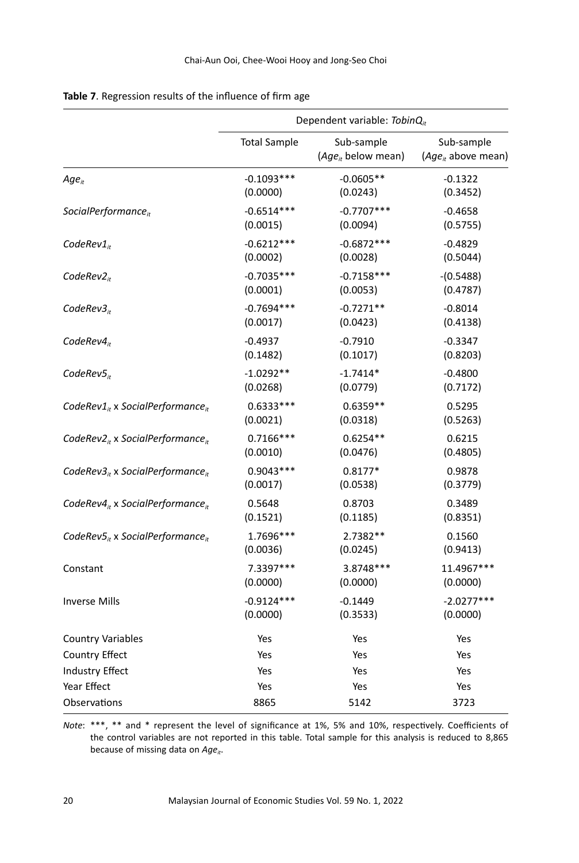|                                                    |                     | Dependent variable: $TobinQ_{it}$     |                                       |
|----------------------------------------------------|---------------------|---------------------------------------|---------------------------------------|
|                                                    | <b>Total Sample</b> | Sub-sample<br>$(Age_{it}$ below mean) | Sub-sample<br>$(Age_{it}$ above mean) |
| Age <sub>it</sub>                                  | $-0.1093***$        | $-0.0605**$                           | $-0.1322$                             |
|                                                    | (0.0000)            | (0.0243)                              | (0.3452)                              |
| SocialPerformance <sub>it</sub>                    | $-0.6514***$        | $-0.7707***$                          | $-0.4658$                             |
|                                                    | (0.0015)            | (0.0094)                              | (0.5755)                              |
| $CodeRev1_{it}$                                    | $-0.6212***$        | $-0.6872***$                          | $-0.4829$                             |
|                                                    | (0.0002)            | (0.0028)                              | (0.5044)                              |
| $CodeRev2_{it}$                                    | $-0.7035***$        | $-0.7158***$                          | $-(0.5488)$                           |
|                                                    | (0.0001)            | (0.0053)                              | (0.4787)                              |
| CodeRev3 <sub>ir</sub>                             | $-0.7694***$        | $-0.7271**$                           | $-0.8014$                             |
|                                                    | (0.0017)            | (0.0423)                              | (0.4138)                              |
| $CodeRev4_{ir}$                                    | $-0.4937$           | $-0.7910$                             | $-0.3347$                             |
|                                                    | (0.1482)            | (0.1017)                              | (0.8203)                              |
| $CodeRev5_{ir}$                                    | $-1.0292**$         | $-1.7414*$                            | $-0.4800$                             |
|                                                    | (0.0268)            | (0.0779)                              | (0.7172)                              |
| CodeRev1 $_{it}$ x SocialPerformance $_{it}$       | $0.6333***$         | $0.6359**$                            | 0.5295                                |
|                                                    | (0.0021)            | (0.0318)                              | (0.5263)                              |
| CodeRev2 $_{it}$ x SocialPerformance $_{it}$       | $0.7166***$         | $0.6254**$                            | 0.6215                                |
|                                                    | (0.0010)            | (0.0476)                              | (0.4805)                              |
| CodeRev $3_{it}$ x SocialPerformance <sub>it</sub> | $0.9043***$         | $0.8177*$                             | 0.9878                                |
|                                                    | (0.0017)            | (0.0538)                              | (0.3779)                              |
| CodeRev $4_{it}$ x SocialPerformance <sub>it</sub> | 0.5648              | 0.8703                                | 0.3489                                |
|                                                    | (0.1521)            | (0.1185)                              | (0.8351)                              |
| CodeRev $5_{it}$ x SocialPerformance <sub>it</sub> | 1.7696***           | 2.7382**                              | 0.1560                                |
|                                                    | (0.0036)            | (0.0245)                              | (0.9413)                              |
| Constant                                           | 7.3397***           | 3.8748 ***                            | 11.4967***                            |
|                                                    | (0.0000)            | (0.0000)                              | (0.0000)                              |
| <b>Inverse Mills</b>                               | $-0.9124***$        | $-0.1449$                             | $-2.0277***$                          |
|                                                    | (0.0000)            | (0.3533)                              | (0.0000)                              |
| <b>Country Variables</b>                           | Yes                 | Yes                                   | Yes                                   |
| Country Effect                                     | Yes                 | Yes                                   | Yes                                   |
| <b>Industry Effect</b>                             | Yes                 | Yes                                   | Yes                                   |
| Year Effect                                        | Yes                 | Yes                                   | Yes                                   |
| Observations                                       | 8865                | 5142                                  | 3723                                  |

# **Table 7**. Regression results of the influence of firm age

*Note*: \*\*\*, \*\* and \* represent the level of significance at 1%, 5% and 10%, respectively. Coefficients of the control variables are not reported in this table. Total sample for this analysis is reduced to 8,865 because of missing data on *Age<sub>it</sub>*.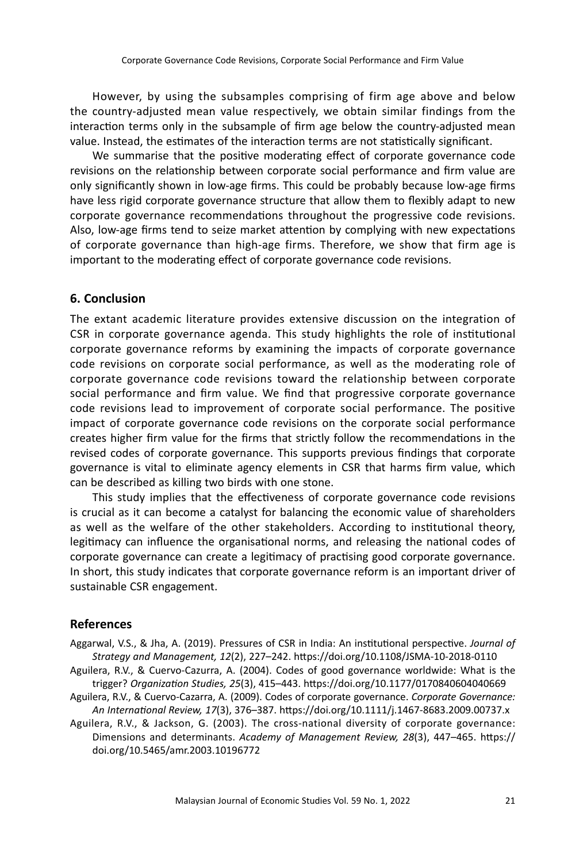However, by using the subsamples comprising of firm age above and below the country-adjusted mean value respectively, we obtain similar findings from the interaction terms only in the subsample of firm age below the country-adjusted mean value. Instead, the estimates of the interaction terms are not statistically significant.

We summarise that the positive moderating effect of corporate governance code revisions on the relationship between corporate social performance and firm value are only significantly shown in low-age firms. This could be probably because low-age firms have less rigid corporate governance structure that allow them to flexibly adapt to new corporate governance recommendations throughout the progressive code revisions. Also, low-age firms tend to seize market attention by complying with new expectations of corporate governance than high-age firms. Therefore, we show that firm age is important to the moderating effect of corporate governance code revisions.

# **6. Conclusion**

The extant academic literature provides extensive discussion on the integration of CSR in corporate governance agenda. This study highlights the role of institutional corporate governance reforms by examining the impacts of corporate governance code revisions on corporate social performance, as well as the moderating role of corporate governance code revisions toward the relationship between corporate social performance and firm value. We find that progressive corporate governance code revisions lead to improvement of corporate social performance. The positive impact of corporate governance code revisions on the corporate social performance creates higher firm value for the firms that strictly follow the recommendations in the revised codes of corporate governance. This supports previous findings that corporate governance is vital to eliminate agency elements in CSR that harms firm value, which can be described as killing two birds with one stone.

This study implies that the effectiveness of corporate governance code revisions is crucial as it can become a catalyst for balancing the economic value of shareholders as well as the welfare of the other stakeholders. According to institutional theory, legitimacy can influence the organisational norms, and releasing the national codes of corporate governance can create a legitimacy of practising good corporate governance. In short, this study indicates that corporate governance reform is an important driver of sustainable CSR engagement.

# **References**

- Aggarwal, V.S., & Jha, A. (2019). Pressures of CSR in India: An institutional perspective. *Journal of Strategy and Management, 12*(2), 227–242. https://doi.org/10.1108/JSMA-10-2018-0110
- Aguilera, R.V., & Cuervo-Cazurra, A. (2004). Codes of good governance worldwide: What is the trigger? *Organization Studies, 25*(3), 415–443. https://doi.org/10.1177/0170840604040669
- Aguilera, R.V., & Cuervo-Cazarra, A. (2009). Codes of corporate governance. *Corporate Governance: An International Review, 17*(3), 376–387. https://doi.org/10.1111/j.1467-8683.2009.00737.x
- Aguilera, R.V., & Jackson, G. (2003). The cross-national diversity of corporate governance: Dimensions and determinants. *Academy of Management Review, 28*(3), 447–465. https:// doi.org/10.5465/amr.2003.10196772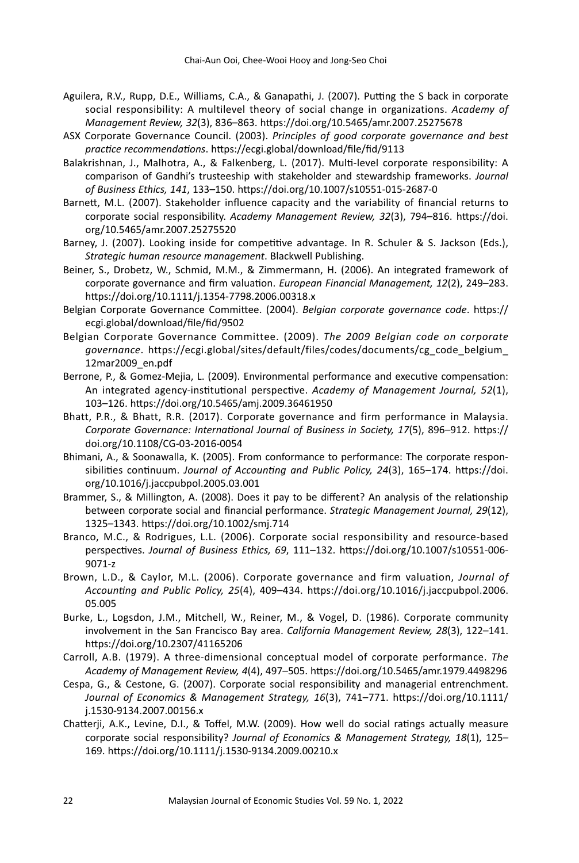- Aguilera, R.V., Rupp, D.E., Williams, C.A., & Ganapathi, J. (2007). Putting the S back in corporate social responsibility: A multilevel theory of social change in organizations. *Academy of Management Review, 32*(3), 836–863. https://doi.org/10.5465/amr.2007.25275678
- ASX Corporate Governance Council. (2003). *Principles of good corporate governance and best practice recommendations*. https://ecgi.global/download/file/fid/9113
- Balakrishnan, J., Malhotra, A., & Falkenberg, L. (2017). Multi-level corporate responsibility: A comparison of Gandhi's trusteeship with stakeholder and stewardship frameworks. *Journal of Business Ethics, 141*, 133–150. https://doi.org/10.1007/s10551-015-2687-0
- Barnett, M.L. (2007). Stakeholder influence capacity and the variability of financial returns to corporate social responsibility. *Academy Management Review, 32*(3), 794–816. https://doi. org/10.5465/amr.2007.25275520
- Barney, J. (2007). Looking inside for competitive advantage. In R. Schuler & S. Jackson (Eds.), *Strategic human resource management*. Blackwell Publishing.
- Beiner, S., Drobetz, W., Schmid, M.M., & Zimmermann, H. (2006). An integrated framework of corporate governance and firm valuation. *European Financial Management, 12*(2), 249–283. https://doi.org/10.1111/j.1354-7798.2006.00318.x
- Belgian Corporate Governance Committee. (2004). *Belgian corporate governance code*. https:// ecgi.global/download/file/fid/9502
- Belgian Corporate Governance Committee. (2009). *The 2009 Belgian code on corporate governance*. https://ecgi.global/sites/default/files/codes/documents/cg\_code\_belgium\_ 12mar2009\_en.pdf
- Berrone, P., & Gomez-Mejia, L. (2009). Environmental performance and executive compensation: An integrated agency-institutional perspective. *Academy of Management Journal, 52*(1), 103–126. https://doi.org/10.5465/amj.2009.36461950
- Bhatt, P.R., & Bhatt, R.R. (2017). Corporate governance and firm performance in Malaysia. *Corporate Governance: International Journal of Business in Society, 17*(5), 896–912. https:// doi.org/10.1108/CG-03-2016-0054
- Bhimani, A., & Soonawalla, K. (2005). From conformance to performance: The corporate responsibilities continuum. *Journal of Accounting and Public Policy, 24*(3), 165–174. https://doi. org/10.1016/j.jaccpubpol.2005.03.001
- Brammer, S., & Millington, A. (2008). Does it pay to be different? An analysis of the relationship between corporate social and financial performance. *Strategic Management Journal, 29*(12), 1325–1343. https://doi.org/10.1002/smj.714
- Branco, M.C., & Rodrigues, L.L. (2006). Corporate social responsibility and resource-based perspectives. *Journal of Business Ethics, 69*, 111–132. https://doi.org/10.1007/s10551-006- 9071-z
- Brown, L.D., & Caylor, M.L. (2006). Corporate governance and firm valuation, *Journal of Accounting and Public Policy, 25*(4), 409–434. https://doi.org/10.1016/j.jaccpubpol.2006. 05.005
- Burke, L., Logsdon, J.M., Mitchell, W., Reiner, M., & Vogel, D. (1986). Corporate community involvement in the San Francisco Bay area. *California Management Review, 28*(3), 122–141. https://doi.org/10.2307/41165206
- Carroll, A.B. (1979). A three-dimensional conceptual model of corporate performance. *The Academy of Management Review, 4*(4), 497–505. https://doi.org/10.5465/amr.1979.4498296
- Cespa, G., & Cestone, G. (2007). Corporate social responsibility and managerial entrenchment. *Journal of Economics & Management Strategy, 16*(3), 741–771. https://doi.org/10.1111/ j.1530-9134.2007.00156.x
- Chatterji, A.K., Levine, D.I., & Toffel, M.W. (2009). How well do social ratings actually measure corporate social responsibility? *Journal of Economics & Management Strategy, 18*(1), 125– 169. https://doi.org/10.1111/j.1530-9134.2009.00210.x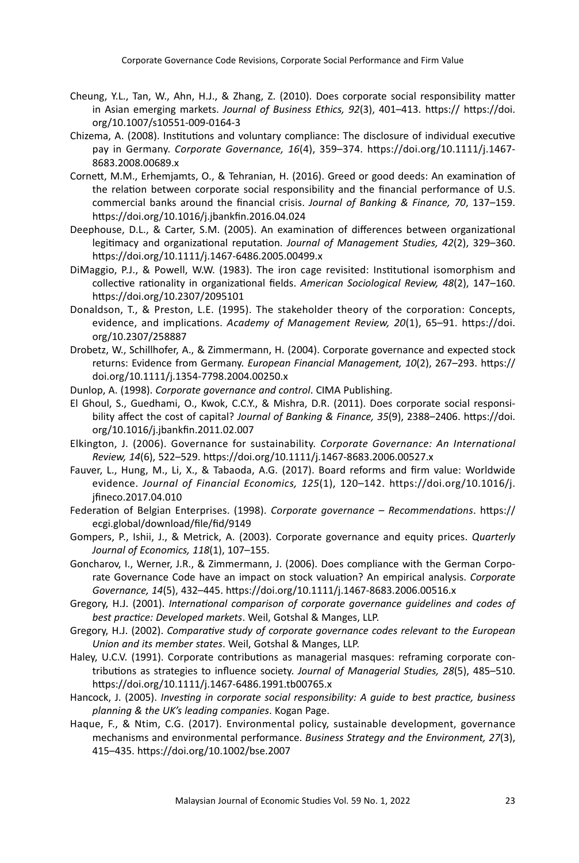- Cheung, Y.L., Tan, W., Ahn, H.J., & Zhang, Z. (2010). Does corporate social responsibility matter in Asian emerging markets. *Journal of Business Ethics, 92*(3), 401–413. https:// https://doi. org/10.1007/s10551-009-0164-3
- Chizema, A. (2008). Institutions and voluntary compliance: The disclosure of individual executive pay in Germany. *Corporate Governance, 16*(4), 359–374. https://doi.org/10.1111/j.1467- 8683.2008.00689.x
- Cornett, M.M., Erhemjamts, O., & Tehranian, H. (2016). Greed or good deeds: An examination of the relation between corporate social responsibility and the financial performance of U.S. commercial banks around the financial crisis. *Journal of Banking & Finance, 70*, 137–159. https://doi.org/10.1016/j.jbankfin.2016.04.024
- Deephouse, D.L., & Carter, S.M. (2005). An examination of differences between organizational legitimacy and organizational reputation. *Journal of Management Studies, 42*(2), 329–360. https://doi.org/10.1111/j.1467-6486.2005.00499.x
- DiMaggio, P.J., & Powell, W.W. (1983). The iron cage revisited: Institutional isomorphism and collective rationality in organizational fields. *American Sociological Review, 48*(2), 147–160. https://doi.org/10.2307/2095101
- Donaldson, T., & Preston, L.E. (1995). The stakeholder theory of the corporation: Concepts, evidence, and implications. *Academy of Management Review, 20*(1), 65–91. https://doi. org/10.2307/258887
- Drobetz, W., Schillhofer, A., & Zimmermann, H. (2004). Corporate governance and expected stock returns: Evidence from Germany. *European Financial Management, 10*(2), 267–293. https:// doi.org/10.1111/j.1354-7798.2004.00250.x
- Dunlop, A. (1998). *Corporate governance and control*. CIMA Publishing.
- El Ghoul, S., Guedhami, O., Kwok, C.C.Y., & Mishra, D.R. (2011). Does corporate social responsibility affect the cost of capital? *Journal of Banking & Finance, 35*(9), 2388–2406. https://doi. org/10.1016/j.jbankfin.2011.02.007
- Elkington, J. (2006). Governance for sustainability. *Corporate Governance: An International Review, 14*(6), 522–529. https://doi.org/10.1111/j.1467-8683.2006.00527.x
- Fauver, L., Hung, M., Li, X., & Tabaoda, A.G. (2017). Board reforms and firm value: Worldwide evidence. *Journal of Financial Economics, 125*(1), 120–142. https://doi.org/10.1016/j. jfineco.2017.04.010
- Federation of Belgian Enterprises. (1998). *Corporate governance Recommendations*. https:// ecgi.global/download/file/fid/9149
- Gompers, P., Ishii, J., & Metrick, A. (2003). Corporate governance and equity prices. *Quarterly Journal of Economics, 118*(1), 107–155.
- Goncharov, I., Werner, J.R., & Zimmermann, J. (2006). Does compliance with the German Corporate Governance Code have an impact on stock valuation? An empirical analysis. *Corporate Governance, 14*(5), 432–445. https://doi.org/10.1111/j.1467-8683.2006.00516.x
- Gregory, H.J. (2001). *International comparison of corporate governance guidelines and codes of best practice: Developed markets*. Weil, Gotshal & Manges, LLP.
- Gregory, H.J. (2002). *Comparative study of corporate governance codes relevant to the European Union and its member states*. Weil, Gotshal & Manges, LLP.
- Haley, U.C.V. (1991). Corporate contributions as managerial masques: reframing corporate contributions as strategies to influence society. *Journal of Managerial Studies, 28*(5), 485–510. https://doi.org/10.1111/j.1467-6486.1991.tb00765.x
- Hancock, J. (2005). *Investing in corporate social responsibility: A guide to best practice, business planning & the UK's leading companies*. Kogan Page.
- Haque, F., & Ntim, C.G. (2017). Environmental policy, sustainable development, governance mechanisms and environmental performance. *Business Strategy and the Environment, 27*(3), 415–435. https://doi.org/10.1002/bse.2007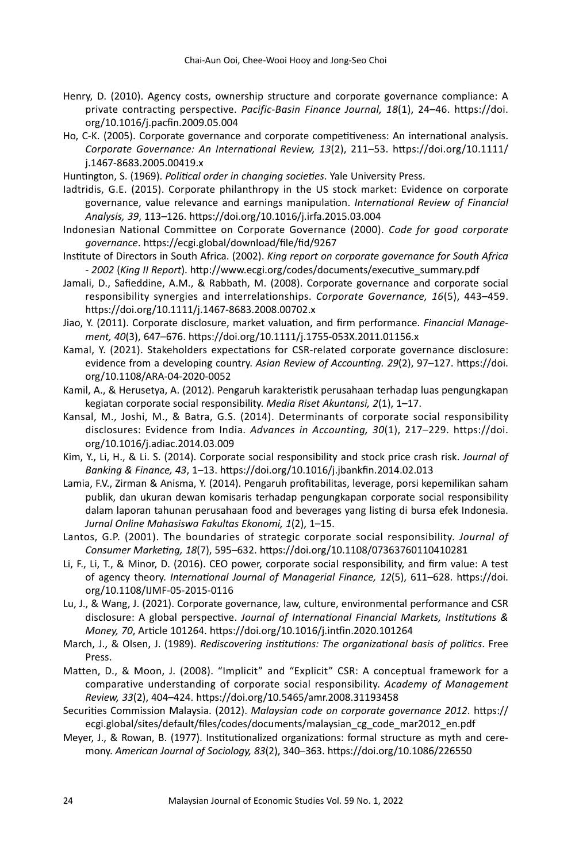- Henry, D. (2010). Agency costs, ownership structure and corporate governance compliance: A private contracting perspective. *Pacific-Basin Finance Journal, 18*(1), 24–46. https://doi. org/10.1016/j.pacfin.2009.05.004
- Ho, C-K. (2005). Corporate governance and corporate competitiveness: An international analysis. *Corporate Governance: An International Review, 13*(2), 211–53. https://doi.org/10.1111/ j.1467-8683.2005.00419.x

Huntington, S. (1969). *Political order in changing societies*. Yale University Press.

- Iadtridis, G.E. (2015). Corporate philanthropy in the US stock market: Evidence on corporate governance, value relevance and earnings manipulation. *International Review of Financial Analysis, 39*, 113–126. https://doi.org/10.1016/j.irfa.2015.03.004
- Indonesian National Committee on Corporate Governance (2000). *Code for good corporate governance*. https://ecgi.global/download/file/fid/9267
- Institute of Directors in South Africa. (2002). *King report on corporate governance for South Africa - 2002* (*King II Report*). http://www.ecgi.org/codes/documents/executive\_summary.pdf
- Jamali, D., Safieddine, A.M., & Rabbath, M. (2008). Corporate governance and corporate social responsibility synergies and interrelationships. *Corporate Governance, 16*(5), 443–459. https://doi.org/10.1111/j.1467-8683.2008.00702.x
- Jiao, Y. (2011). Corporate disclosure, market valuation, and firm performance. *Financial Management, 40*(3), 647–676. https://doi.org/10.1111/j.1755-053X.2011.01156.x
- Kamal, Y. (2021). Stakeholders expectations for CSR-related corporate governance disclosure: evidence from a developing country. *Asian Review of Accounting. 29*(2), 97–127. https://doi. org/10.1108/ARA-04-2020-0052
- Kamil, A., & Herusetya, A. (2012). Pengaruh karakteristik perusahaan terhadap luas pengungkapan kegiatan corporate social responsibility. *Media Riset Akuntansi, 2*(1), 1–17.
- Kansal, M., Joshi, M., & Batra, G.S. (2014). Determinants of corporate social responsibility disclosures: Evidence from India. *Advances in Accounting, 30*(1), 217–229. https://doi. org/10.1016/j.adiac.2014.03.009
- Kim, Y., Li, H., & Li. S. (2014). Corporate social responsibility and stock price crash risk. *Journal of Banking & Finance, 43*, 1–13. https://doi.org/10.1016/j.jbankfin.2014.02.013
- Lamia, F.V., Zirman & Anisma, Y. (2014). Pengaruh profitabilitas, leverage, porsi kepemilikan saham publik, dan ukuran dewan komisaris terhadap pengungkapan corporate social responsibility dalam laporan tahunan perusahaan food and beverages yang listing di bursa efek Indonesia. *Jurnal Online Mahasiswa Fakultas Ekonomi, 1*(2), 1–15.
- Lantos, G.P. (2001). The boundaries of strategic corporate social responsibility. *Journal of Consumer Marketing, 18*(7), 595–632. https://doi.org/10.1108/07363760110410281
- Li, F., Li, T., & Minor, D. (2016). CEO power, corporate social responsibility, and firm value: A test of agency theory. *International Journal of Managerial Finance, 12*(5), 611–628. https://doi. org/10.1108/IJMF-05-2015-0116
- Lu, J., & Wang, J. (2021). Corporate governance, law, culture, environmental performance and CSR disclosure: A global perspective. *Journal of International Financial Markets, Institutions & Money, 70*, Article 101264. https://doi.org/10.1016/j.intfin.2020.101264
- March, J., & Olsen, J. (1989). *Rediscovering institutions: The organizational basis of politics*. Free Press.
- Matten, D., & Moon, J. (2008). "Implicit" and "Explicit" CSR: A conceptual framework for a comparative understanding of corporate social responsibility. *Academy of Management Review, 33*(2), 404–424. https://doi.org/10.5465/amr.2008.31193458
- Securities Commission Malaysia. (2012). *Malaysian code on corporate governance 2012*. https:// ecgi.global/sites/default/files/codes/documents/malaysian\_cg\_code\_mar2012\_en.pdf
- Meyer, J., & Rowan, B. (1977). Institutionalized organizations: formal structure as myth and ceremony. *American Journal of Sociology, 83*(2), 340–363. https://doi.org/10.1086/226550